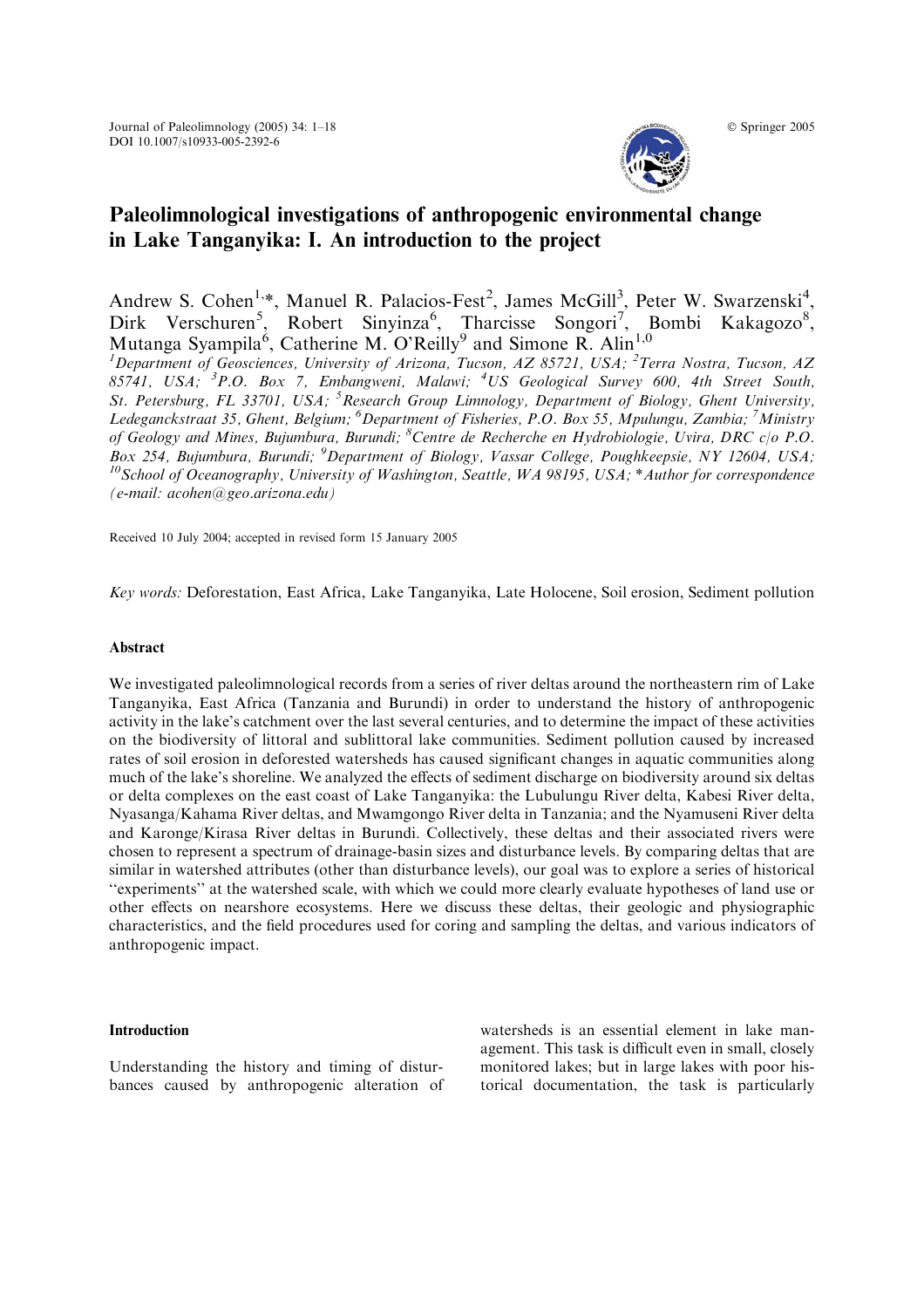

# Paleolimnological investigations of anthropogenic environmental change in Lake Tanganyika: I. An introduction to the project

Andrew S. Cohen<sup>1,\*</sup>, Manuel R. Palacios-Fest<sup>2</sup>, James McGill<sup>3</sup>, Peter W. Swarzenski<sup>4</sup>, Dirk Verschuren<sup>5</sup>, Robert Sinyinza<sup>6</sup>, Tharcisse Songori<sup>7</sup>, Bombi Kakagozo<sup>8</sup>, Mutanga Syampila<sup>6</sup>, Catherine M. O'Reilly<sup>9</sup> and Simone R. Alin<sup>1,0</sup>

<sup>1</sup>Department of Geosciences, University of Arizona, Tucson, AZ 85721, USA; <sup>2</sup>Terra Nostra, Tucson, AZ 85741, USA; <sup>3</sup>P.O. Box 7, Embangweni, Malawi; <sup>4</sup>US Geological Survey 600, 4th Street South, St. Petersburg, FL 33701, USA; <sup>5</sup> Research Group Limnology, Department of Biology, Ghent University, Ledeganckstraat 35, Ghent, Belgium; <sup>6</sup>Department of Fisheries, P.O. Box 55, Mpulungu, Zambia; <sup>7</sup>Ministry of Geology and Mines, Bujumbura, Burundi; <sup>8</sup>Centre de Recherche en Hydrobiologie, Uvira, DRC c/o P.O. Box 254, Bujumbura, Burundi; <sup>9</sup>Department of Biology, Vassar College, Poughkeepsie, NY 12604, USA; <sup>10</sup>School of Oceanography, University of Washington, Seattle, WA 98195, USA; \*Author for correspondence (e-mail: acohen@geo.arizona.edu)

Received 10 July 2004; accepted in revised form 15 January 2005

Key words: Deforestation, East Africa, Lake Tanganyika, Late Holocene, Soil erosion, Sediment pollution

# Abstract

We investigated paleolimnological records from a series of river deltas around the northeastern rim of Lake Tanganyika, East Africa (Tanzania and Burundi) in order to understand the history of anthropogenic activity in the lake's catchment over the last several centuries, and to determine the impact of these activities on the biodiversity of littoral and sublittoral lake communities. Sediment pollution caused by increased rates of soil erosion in deforested watersheds has caused significant changes in aquatic communities along much of the lake's shoreline. We analyzed the effects of sediment discharge on biodiversity around six deltas or delta complexes on the east coast of Lake Tanganyika: the Lubulungu River delta, Kabesi River delta, Nyasanga/Kahama River deltas, and Mwamgongo River delta in Tanzania; and the Nyamuseni River delta and Karonge/Kirasa River deltas in Burundi. Collectively, these deltas and their associated rivers were chosen to represent a spectrum of drainage-basin sizes and disturbance levels. By comparing deltas that are similar in watershed attributes (other than disturbance levels), our goal was to explore a series of historical ''experiments'' at the watershed scale, with which we could more clearly evaluate hypotheses of land use or other effects on nearshore ecosystems. Here we discuss these deltas, their geologic and physiographic characteristics, and the field procedures used for coring and sampling the deltas, and various indicators of anthropogenic impact.

## Introduction

Understanding the history and timing of disturbances caused by anthropogenic alteration of watersheds is an essential element in lake management. This task is difficult even in small, closely monitored lakes; but in large lakes with poor historical documentation, the task is particularly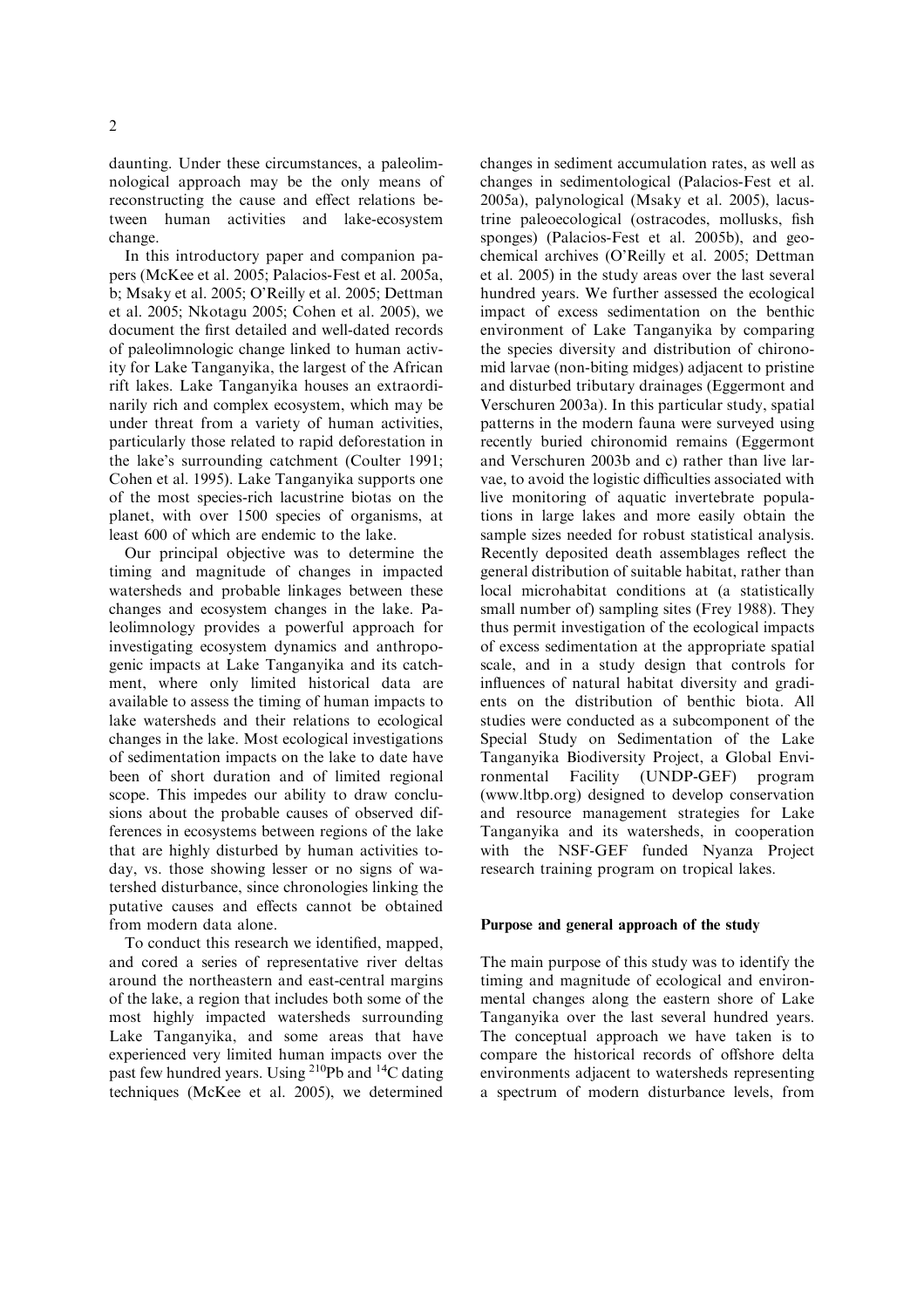daunting. Under these circumstances, a paleolimnological approach may be the only means of reconstructing the cause and effect relations between human activities and lake-ecosystem change.

In this introductory paper and companion papers (McKee et al. 2005; Palacios-Fest et al. 2005a, b; Msaky et al. 2005; O'Reilly et al. 2005; Dettman et al. 2005; Nkotagu 2005; Cohen et al. 2005), we document the first detailed and well-dated records of paleolimnologic change linked to human activity for Lake Tanganyika, the largest of the African rift lakes. Lake Tanganyika houses an extraordinarily rich and complex ecosystem, which may be under threat from a variety of human activities, particularly those related to rapid deforestation in the lake's surrounding catchment (Coulter 1991; Cohen et al. 1995). Lake Tanganyika supports one of the most species-rich lacustrine biotas on the planet, with over 1500 species of organisms, at least 600 of which are endemic to the lake.

Our principal objective was to determine the timing and magnitude of changes in impacted watersheds and probable linkages between these changes and ecosystem changes in the lake. Paleolimnology provides a powerful approach for investigating ecosystem dynamics and anthropogenic impacts at Lake Tanganyika and its catchment, where only limited historical data are available to assess the timing of human impacts to lake watersheds and their relations to ecological changes in the lake. Most ecological investigations of sedimentation impacts on the lake to date have been of short duration and of limited regional scope. This impedes our ability to draw conclusions about the probable causes of observed differences in ecosystems between regions of the lake that are highly disturbed by human activities today, vs. those showing lesser or no signs of watershed disturbance, since chronologies linking the putative causes and effects cannot be obtained from modern data alone.

To conduct this research we identified, mapped, and cored a series of representative river deltas around the northeastern and east-central margins of the lake, a region that includes both some of the most highly impacted watersheds surrounding Lake Tanganyika, and some areas that have experienced very limited human impacts over the past few hundred years. Using <sup>210</sup>Pb and <sup>14</sup>C dating techniques (McKee et al. 2005), we determined

changes in sediment accumulation rates, as well as changes in sedimentological (Palacios-Fest et al. 2005a), palynological (Msaky et al. 2005), lacustrine paleoecological (ostracodes, mollusks, fish sponges) (Palacios-Fest et al. 2005b), and geochemical archives (O'Reilly et al. 2005; Dettman et al. 2005) in the study areas over the last several hundred years. We further assessed the ecological impact of excess sedimentation on the benthic environment of Lake Tanganyika by comparing the species diversity and distribution of chironomid larvae (non-biting midges) adjacent to pristine and disturbed tributary drainages (Eggermont and Verschuren 2003a). In this particular study, spatial patterns in the modern fauna were surveyed using recently buried chironomid remains (Eggermont and Verschuren 2003b and c) rather than live larvae, to avoid the logistic difficulties associated with live monitoring of aquatic invertebrate populations in large lakes and more easily obtain the sample sizes needed for robust statistical analysis. Recently deposited death assemblages reflect the general distribution of suitable habitat, rather than local microhabitat conditions at (a statistically small number of) sampling sites (Frey 1988). They thus permit investigation of the ecological impacts of excess sedimentation at the appropriate spatial scale, and in a study design that controls for influences of natural habitat diversity and gradients on the distribution of benthic biota. All studies were conducted as a subcomponent of the Special Study on Sedimentation of the Lake Tanganyika Biodiversity Project, a Global Environmental Facility (UNDP-GEF) program (www.ltbp.org) designed to develop conservation and resource management strategies for Lake Tanganyika and its watersheds, in cooperation with the NSF-GEF funded Nyanza Project research training program on tropical lakes.

#### Purpose and general approach of the study

The main purpose of this study was to identify the timing and magnitude of ecological and environmental changes along the eastern shore of Lake Tanganyika over the last several hundred years. The conceptual approach we have taken is to compare the historical records of offshore delta environments adjacent to watersheds representing a spectrum of modern disturbance levels, from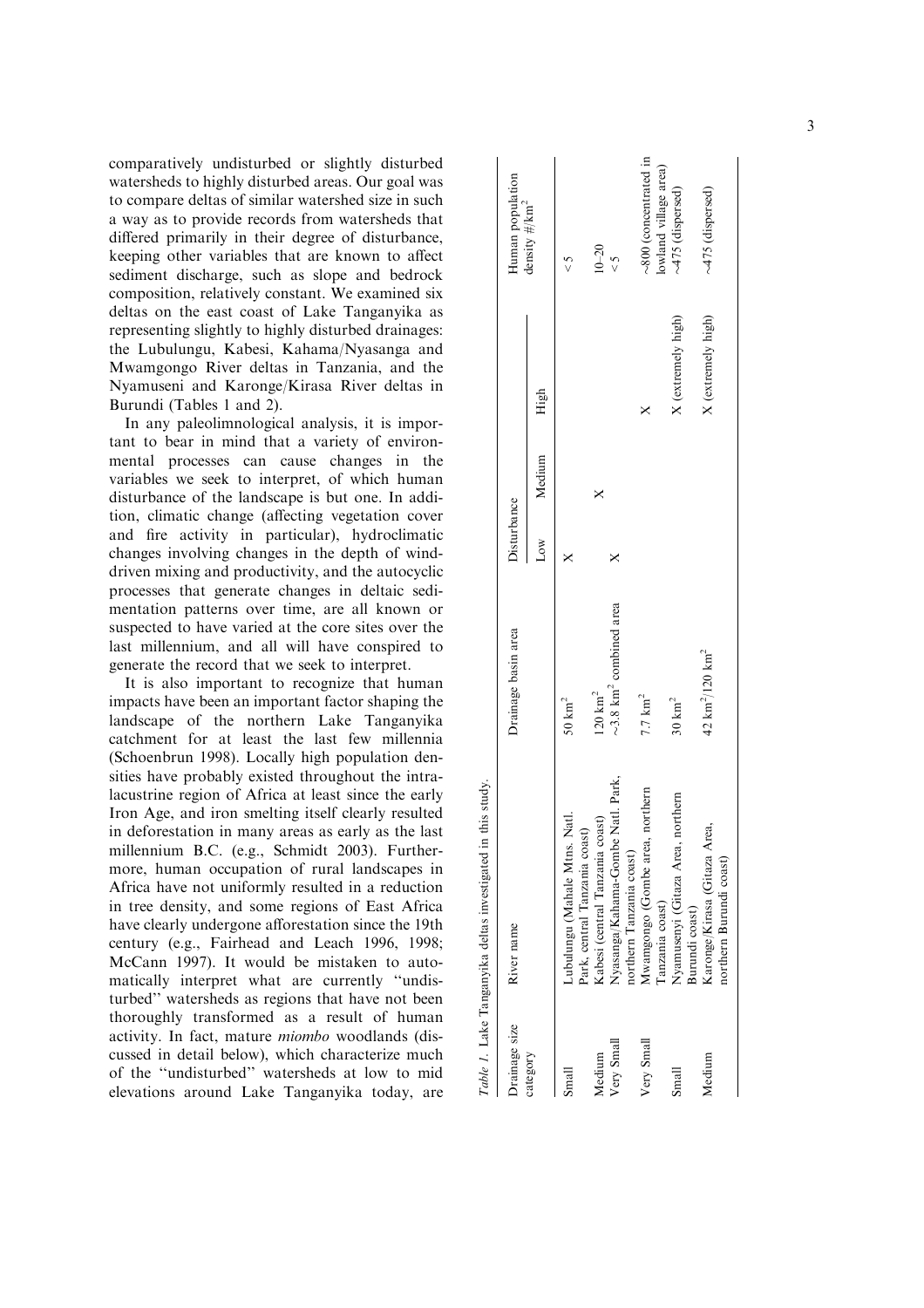comparatively undisturbed or slightly disturbed watersheds to highly disturbed areas. Our goal was to compare deltas of similar watershed size in such a way as to provide records from watersheds that differed primarily in their degree of disturbance, keeping other variables that are known to affect sediment discharge, such as slope and bedrock composition, relatively constant. We examined six deltas on the east coast of Lake Tanganyika as representing slightly to highly disturbed drainages: the Lubulungu, Kabesi, Kahama/Nyasanga and Mwamgongo River deltas in Tanzania, and the Nyamuseni and Karonge/Kirasa River deltas in Burundi (Tables 1 and 2).

In any paleolimnological analysis, it is important to bear in mind that a variety of environmental processes can cause changes in the variables we seek to interpret, of which human disturbance of the landscape is but one. In addition, climatic change (affecting vegetation cover and fire activity in particular), hydroclimatic changes involving changes in the depth of winddriven mixing and productivity, and the autocyclic processes that generate changes in deltaic sedimentation patterns over time, are all known or suspected to have varied at the core sites over the last millennium, and all will have conspired to generate the record that we seek to interpret.

It is also important to recognize that human impacts have been an important factor shaping the landscape of the northern Lake Tanganyika catchment for at least the last few millennia (Schoenbrun 1998). Locally high population densities have probably existed throughout the intralacustrine region of Africa at least since the early Iron Age, and iron smelting itself clearly resulted in deforestation in many areas as early as the last millennium B.C. (e.g., Schmidt 2003). Furthermore, human occupation of rural landscapes in Africa have not uniformly resulted in a reduction in tree density, and some regions of East Africa have clearly undergone afforestation since the 19th century (e.g., Fairhead and Leach 1996, 1998; McCann 1997). It would be mistaken to automatically interpret what are currently ''undisturbed'' watersheds as regions that have not been thoroughly transformed as a result of human activity. In fact, mature miombo woodlands (discussed in detail below), which characterize much of the ''undisturbed'' watersheds at low to mid elevations around Lake Tanganyika today, are

|               | There are the construction of the construction of the construction of the construction of the construction of the construction of the construction of the construction of the construction of the construction of the construc |                                          |             |        |                    |                                                     |
|---------------|--------------------------------------------------------------------------------------------------------------------------------------------------------------------------------------------------------------------------------|------------------------------------------|-------------|--------|--------------------|-----------------------------------------------------|
| Drainage size | River name                                                                                                                                                                                                                     | Drainage basin area                      | Disturbance |        |                    | Human population                                    |
| category      |                                                                                                                                                                                                                                |                                          | Low         | Medium | High               | density $\#/\text{km}^2$                            |
| Small         | Lubulungu (Mahale Mtns. Natl.<br>Park, central Tanzania coast)                                                                                                                                                                 | $50 \text{ km}^2$                        |             |        |                    | $\frac{5}{5}$                                       |
| Medium        | Kabesi (central Tanzania coast)                                                                                                                                                                                                | $120 \text{ km}^2$                       |             | ×      |                    |                                                     |
| Very Small    | Nyasanga/Kahama-Gombe Natl. Park,<br>northern Tanzania coast)                                                                                                                                                                  | $\sim$ 3.8 km <sup>2</sup> combined area |             |        |                    | $10-20$<br>$5$                                      |
| Very Small    | Mwamgongo (Gombe area, northern<br>Tanzania coast)                                                                                                                                                                             | $7.7$ km <sup>2</sup>                    |             |        |                    | $\sim$ 800 (concentrated in<br>owland village area) |
| Small         | Nyamusenyi (Gitaza Area, northern<br>Burundi coast)                                                                                                                                                                            | $30 \text{ km}^2$                        |             |        | X (extremely high) | $\sim$ 475 (dispersed)                              |
| Medium        | Karonge/Kirasa (Gitaza Area,<br>northern Burundi coast)                                                                                                                                                                        | 42 km <sup>2</sup> /120 km <sup>2</sup>  |             |        | X (extremely high) | $\sim$ 475 (dispersed)                              |
|               |                                                                                                                                                                                                                                |                                          |             |        |                    |                                                     |

Table 1. Lake Tanganyika deltas investigated in this study. 1. Lake Tanganyika deltas investigated in this study Table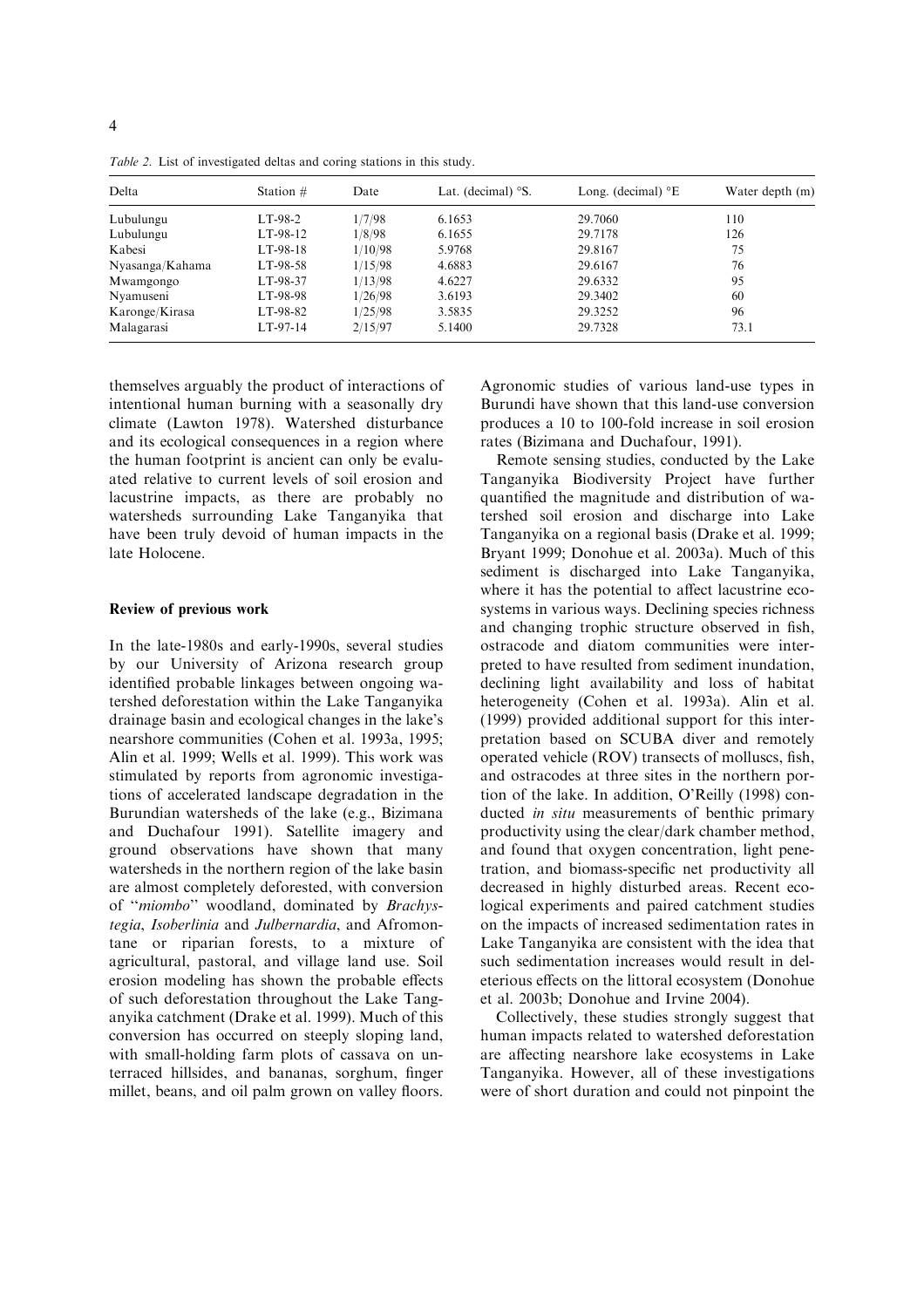| Delta           | Station $#$ | Date    | Lat. (decimal) $\textdegree$ S. | Long. (decimal) $^{\circ}E$ | Water depth (m) |
|-----------------|-------------|---------|---------------------------------|-----------------------------|-----------------|
| Lubulungu       | $LT-98-2$   | 1/7/98  | 6.1653                          | 29.7060                     | 110             |
| Lubulungu       | $LT-98-12$  | 1/8/98  | 6.1655                          | 29.7178                     | 126             |
| Kabesi          | $LT-98-18$  | 1/10/98 | 5.9768                          | 29.8167                     | 75              |
| Nyasanga/Kahama | LT-98-58    | 1/15/98 | 4.6883                          | 29.6167                     | 76              |
| Mwamgongo       | LT-98-37    | 1/13/98 | 4.6227                          | 29.6332                     | 95              |
| Nyamuseni       | LT-98-98    | 1/26/98 | 3.6193                          | 29.3402                     | 60              |
| Karonge/Kirasa  | LT-98-82    | 1/25/98 | 3.5835                          | 29.3252                     | 96              |
| Malagarasi      | LT-97-14    | 2/15/97 | 5.1400                          | 29.7328                     | 73.1            |

Table 2. List of investigated deltas and coring stations in this study.

themselves arguably the product of interactions of intentional human burning with a seasonally dry climate (Lawton 1978). Watershed disturbance and its ecological consequences in a region where the human footprint is ancient can only be evaluated relative to current levels of soil erosion and lacustrine impacts, as there are probably no watersheds surrounding Lake Tanganyika that have been truly devoid of human impacts in the late Holocene.

## Review of previous work

In the late-1980s and early-1990s, several studies by our University of Arizona research group identified probable linkages between ongoing watershed deforestation within the Lake Tanganyika drainage basin and ecological changes in the lake's nearshore communities (Cohen et al. 1993a, 1995; Alin et al. 1999; Wells et al. 1999). This work was stimulated by reports from agronomic investigations of accelerated landscape degradation in the Burundian watersheds of the lake (e.g., Bizimana and Duchafour 1991). Satellite imagery and ground observations have shown that many watersheds in the northern region of the lake basin are almost completely deforested, with conversion of "miombo" woodland, dominated by Brachystegia, Isoberlinia and Julbernardia, and Afromontane or riparian forests, to a mixture of agricultural, pastoral, and village land use. Soil erosion modeling has shown the probable effects of such deforestation throughout the Lake Tanganyika catchment (Drake et al. 1999). Much of this conversion has occurred on steeply sloping land, with small-holding farm plots of cassava on unterraced hillsides, and bananas, sorghum, finger millet, beans, and oil palm grown on valley floors.

Agronomic studies of various land-use types in Burundi have shown that this land-use conversion produces a 10 to 100-fold increase in soil erosion rates (Bizimana and Duchafour, 1991).

Remote sensing studies, conducted by the Lake Tanganyika Biodiversity Project have further quantified the magnitude and distribution of watershed soil erosion and discharge into Lake Tanganyika on a regional basis (Drake et al. 1999; Bryant 1999; Donohue et al. 2003a). Much of this sediment is discharged into Lake Tanganyika, where it has the potential to affect lacustrine ecosystems in various ways. Declining species richness and changing trophic structure observed in fish, ostracode and diatom communities were interpreted to have resulted from sediment inundation, declining light availability and loss of habitat heterogeneity (Cohen et al. 1993a). Alin et al. (1999) provided additional support for this interpretation based on SCUBA diver and remotely operated vehicle (ROV) transects of molluscs, fish, and ostracodes at three sites in the northern portion of the lake. In addition, O'Reilly (1998) conducted in situ measurements of benthic primary productivity using the clear/dark chamber method, and found that oxygen concentration, light penetration, and biomass-specific net productivity all decreased in highly disturbed areas. Recent ecological experiments and paired catchment studies on the impacts of increased sedimentation rates in Lake Tanganyika are consistent with the idea that such sedimentation increases would result in deleterious effects on the littoral ecosystem (Donohue et al. 2003b; Donohue and Irvine 2004).

Collectively, these studies strongly suggest that human impacts related to watershed deforestation are affecting nearshore lake ecosystems in Lake Tanganyika. However, all of these investigations were of short duration and could not pinpoint the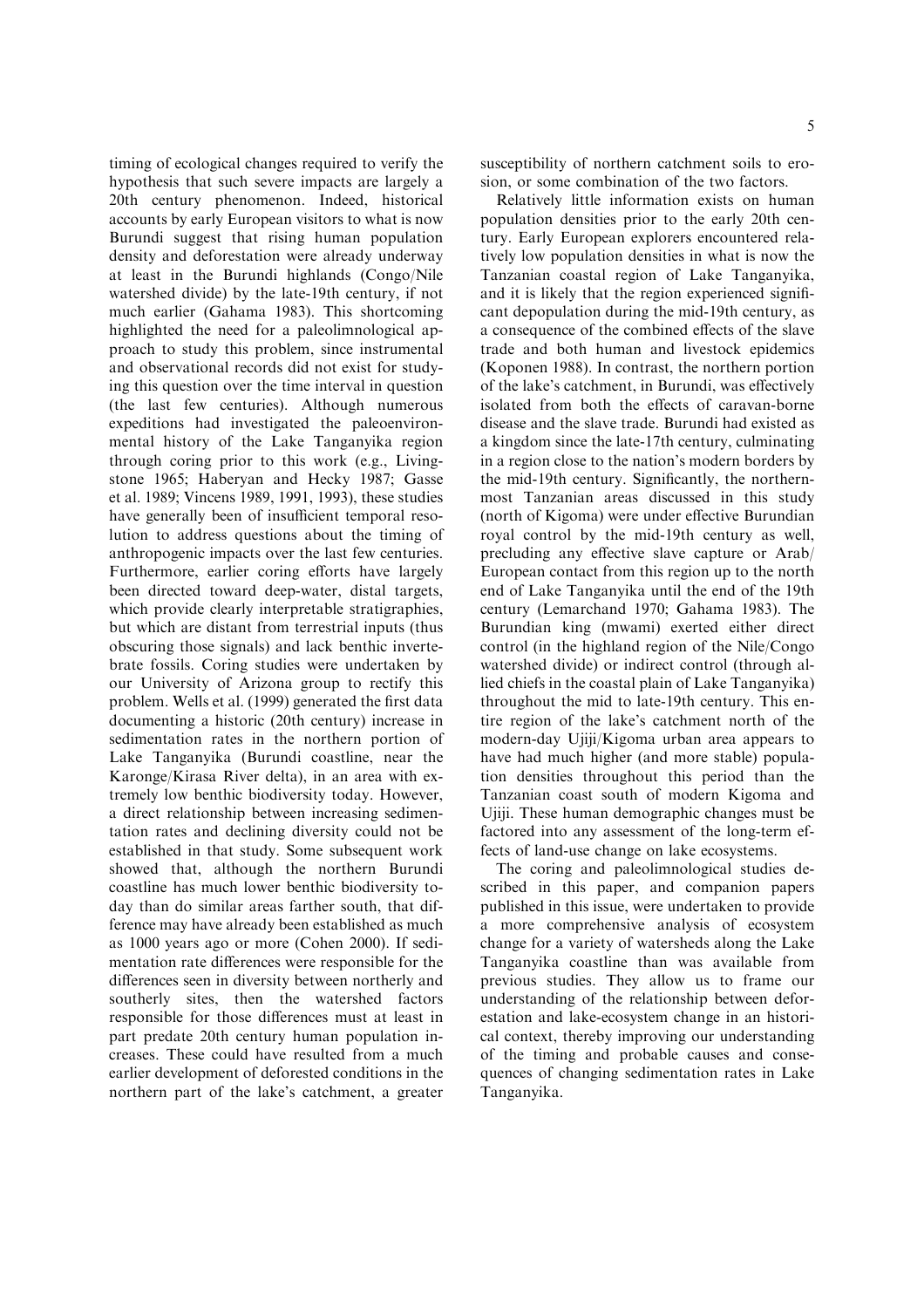timing of ecological changes required to verify the hypothesis that such severe impacts are largely a 20th century phenomenon. Indeed, historical accounts by early European visitors to what is now Burundi suggest that rising human population density and deforestation were already underway at least in the Burundi highlands (Congo/Nile watershed divide) by the late-19th century, if not much earlier (Gahama 1983). This shortcoming highlighted the need for a paleolimnological approach to study this problem, since instrumental and observational records did not exist for studying this question over the time interval in question (the last few centuries). Although numerous expeditions had investigated the paleoenvironmental history of the Lake Tanganyika region through coring prior to this work (e.g., Livingstone 1965; Haberyan and Hecky 1987; Gasse et al. 1989; Vincens 1989, 1991, 1993), these studies have generally been of insufficient temporal resolution to address questions about the timing of anthropogenic impacts over the last few centuries. Furthermore, earlier coring efforts have largely been directed toward deep-water, distal targets, which provide clearly interpretable stratigraphies, but which are distant from terrestrial inputs (thus obscuring those signals) and lack benthic invertebrate fossils. Coring studies were undertaken by our University of Arizona group to rectify this problem. Wells et al. (1999) generated the first data documenting a historic (20th century) increase in sedimentation rates in the northern portion of Lake Tanganyika (Burundi coastline, near the Karonge/Kirasa River delta), in an area with extremely low benthic biodiversity today. However, a direct relationship between increasing sedimentation rates and declining diversity could not be established in that study. Some subsequent work showed that, although the northern Burundi coastline has much lower benthic biodiversity today than do similar areas farther south, that difference may have already been established as much as 1000 years ago or more (Cohen 2000). If sedimentation rate differences were responsible for the differences seen in diversity between northerly and southerly sites, then the watershed factors responsible for those differences must at least in part predate 20th century human population increases. These could have resulted from a much earlier development of deforested conditions in the northern part of the lake's catchment, a greater

susceptibility of northern catchment soils to erosion, or some combination of the two factors.

Relatively little information exists on human population densities prior to the early 20th century. Early European explorers encountered relatively low population densities in what is now the Tanzanian coastal region of Lake Tanganyika, and it is likely that the region experienced significant depopulation during the mid-19th century, as a consequence of the combined effects of the slave trade and both human and livestock epidemics (Koponen 1988). In contrast, the northern portion of the lake's catchment, in Burundi, was effectively isolated from both the effects of caravan-borne disease and the slave trade. Burundi had existed as a kingdom since the late-17th century, culminating in a region close to the nation's modern borders by the mid-19th century. Significantly, the northernmost Tanzanian areas discussed in this study (north of Kigoma) were under effective Burundian royal control by the mid-19th century as well, precluding any effective slave capture or Arab/ European contact from this region up to the north end of Lake Tanganyika until the end of the 19th century (Lemarchand 1970; Gahama 1983). The Burundian king (mwami) exerted either direct control (in the highland region of the Nile/Congo watershed divide) or indirect control (through allied chiefs in the coastal plain of Lake Tanganyika) throughout the mid to late-19th century. This entire region of the lake's catchment north of the modern-day Ujiji/Kigoma urban area appears to have had much higher (and more stable) population densities throughout this period than the Tanzanian coast south of modern Kigoma and Ujiji. These human demographic changes must be factored into any assessment of the long-term effects of land-use change on lake ecosystems.

The coring and paleolimnological studies described in this paper, and companion papers published in this issue, were undertaken to provide a more comprehensive analysis of ecosystem change for a variety of watersheds along the Lake Tanganyika coastline than was available from previous studies. They allow us to frame our understanding of the relationship between deforestation and lake-ecosystem change in an historical context, thereby improving our understanding of the timing and probable causes and consequences of changing sedimentation rates in Lake Tanganyika.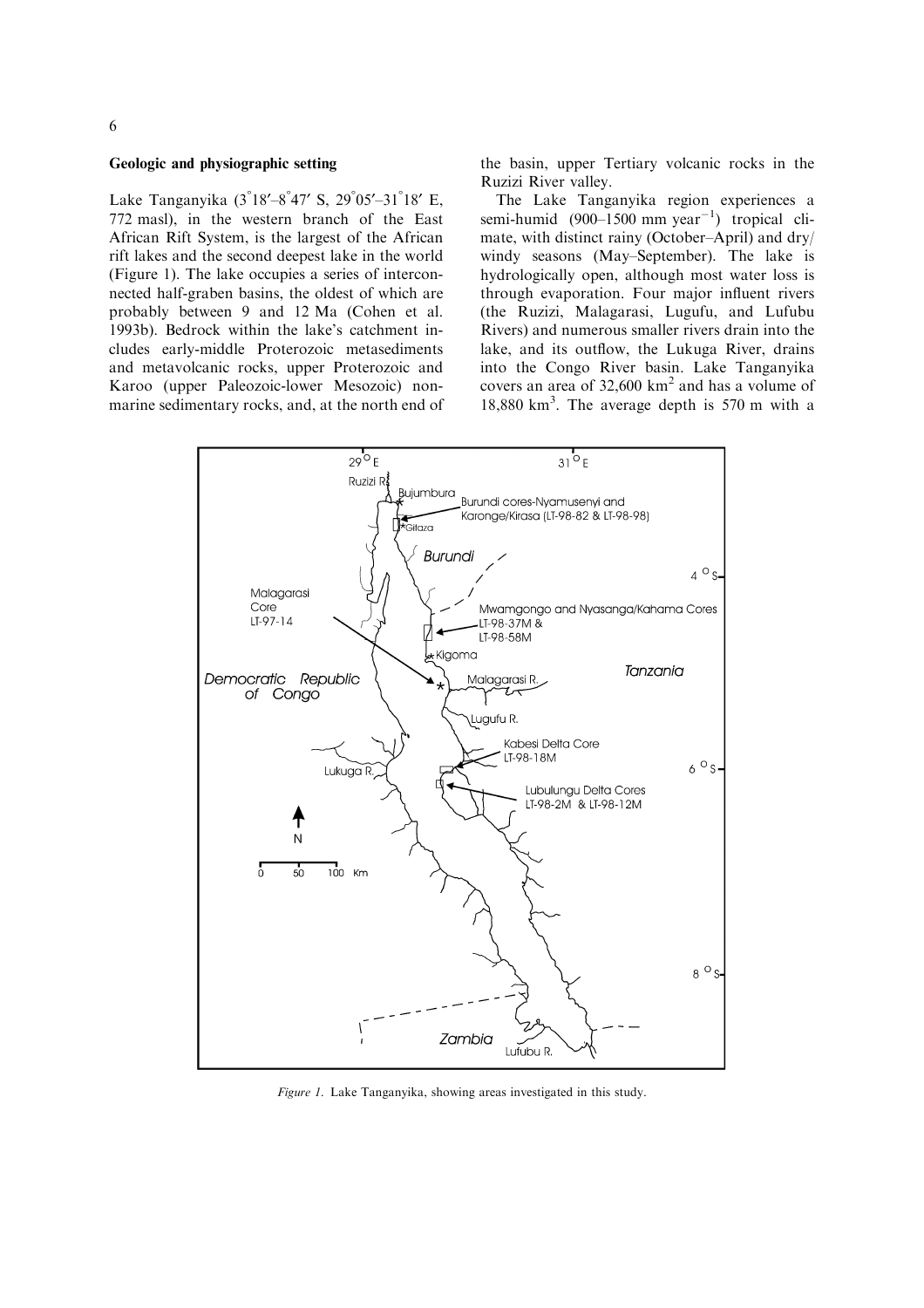#### Geologic and physiographic setting

Lake Tanganyika (3<sup>°</sup>18′–8<sup>°</sup>47′ S, 29<sup>°</sup>05′–31<sup>°</sup>18′ E, 772 masl), in the western branch of the East African Rift System, is the largest of the African rift lakes and the second deepest lake in the world (Figure 1). The lake occupies a series of interconnected half-graben basins, the oldest of which are probably between 9 and 12 Ma (Cohen et al. 1993b). Bedrock within the lake's catchment includes early-middle Proterozoic metasediments and metavolcanic rocks, upper Proterozoic and Karoo (upper Paleozoic-lower Mesozoic) nonmarine sedimentary rocks, and, at the north end of the basin, upper Tertiary volcanic rocks in the Ruzizi River valley.

The Lake Tanganyika region experiences a semi-humid (900–1500 mm year<sup>-1</sup>) tropical climate, with distinct rainy (October–April) and dry/ windy seasons (May–September). The lake is hydrologically open, although most water loss is through evaporation. Four major influent rivers (the Ruzizi, Malagarasi, Lugufu, and Lufubu Rivers) and numerous smaller rivers drain into the lake, and its outflow, the Lukuga River, drains into the Congo River basin. Lake Tanganyika covers an area of  $32,600 \text{ km}^2$  and has a volume of 18,880 km<sup>3</sup>. The average depth is 570 m with a



Figure 1. Lake Tanganyika, showing areas investigated in this study.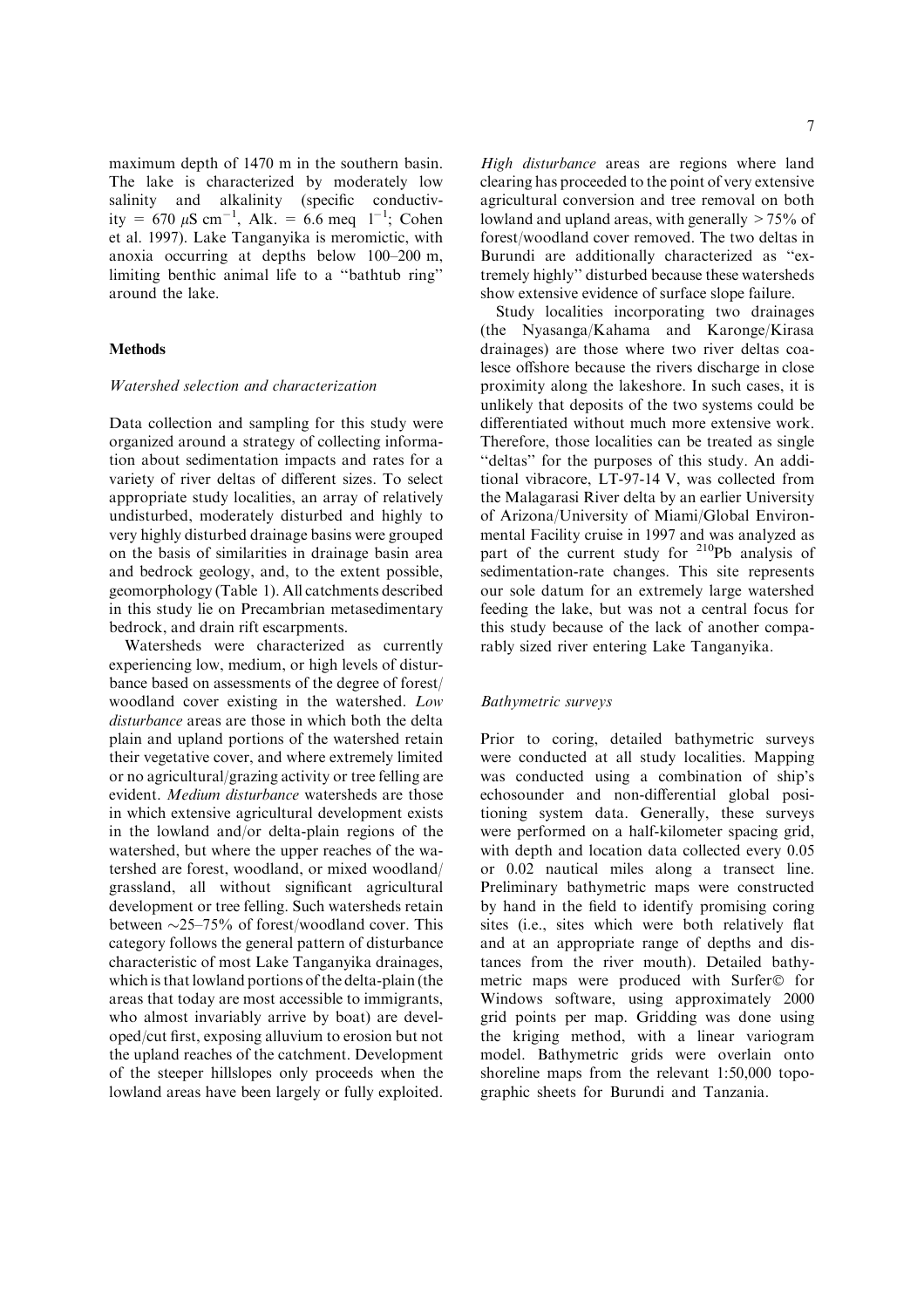maximum depth of 1470 m in the southern basin. The lake is characterized by moderately low salinity and alkalinity (specific conductivity = 670  $\mu$ S cm<sup>-1</sup>, Alk. = 6.6 meq 1<sup>-1</sup>; Cohen et al. 1997). Lake Tanganyika is meromictic, with anoxia occurring at depths below 100–200 m, limiting benthic animal life to a ''bathtub ring'' around the lake.

## Methods

#### Watershed selection and characterization

Data collection and sampling for this study were organized around a strategy of collecting information about sedimentation impacts and rates for a variety of river deltas of different sizes. To select appropriate study localities, an array of relatively undisturbed, moderately disturbed and highly to very highly disturbed drainage basins were grouped on the basis of similarities in drainage basin area and bedrock geology, and, to the extent possible, geomorphology (Table 1). All catchments described in this study lie on Precambrian metasedimentary bedrock, and drain rift escarpments.

Watersheds were characterized as currently experiencing low, medium, or high levels of disturbance based on assessments of the degree of forest/ woodland cover existing in the watershed. Low disturbance areas are those in which both the delta plain and upland portions of the watershed retain their vegetative cover, and where extremely limited or no agricultural/grazing activity or tree felling are evident. Medium disturbance watersheds are those in which extensive agricultural development exists in the lowland and/or delta-plain regions of the watershed, but where the upper reaches of the watershed are forest, woodland, or mixed woodland/ grassland, all without significant agricultural development or tree felling. Such watersheds retain between  $\sim$ 25–75% of forest/woodland cover. This category follows the general pattern of disturbance characteristic of most Lake Tanganyika drainages, which is that lowland portions of the delta-plain (the areas that today are most accessible to immigrants, who almost invariably arrive by boat) are developed/cut first, exposing alluvium to erosion but not the upland reaches of the catchment. Development of the steeper hillslopes only proceeds when the lowland areas have been largely or fully exploited.

High disturbance areas are regions where land clearing has proceeded to the point of very extensive agricultural conversion and tree removal on both lowland and upland areas, with generally  $>75\%$  of forest/woodland cover removed. The two deltas in Burundi are additionally characterized as ''extremely highly'' disturbed because these watersheds show extensive evidence of surface slope failure.

Study localities incorporating two drainages (the Nyasanga/Kahama and Karonge/Kirasa drainages) are those where two river deltas coalesce offshore because the rivers discharge in close proximity along the lakeshore. In such cases, it is unlikely that deposits of the two systems could be differentiated without much more extensive work. Therefore, those localities can be treated as single "deltas" for the purposes of this study. An additional vibracore, LT-97-14 V, was collected from the Malagarasi River delta by an earlier University of Arizona/University of Miami/Global Environmental Facility cruise in 1997 and was analyzed as part of the current study for 210Pb analysis of sedimentation-rate changes. This site represents our sole datum for an extremely large watershed feeding the lake, but was not a central focus for this study because of the lack of another comparably sized river entering Lake Tanganyika.

## Bathymetric surveys

Prior to coring, detailed bathymetric surveys were conducted at all study localities. Mapping was conducted using a combination of ship's echosounder and non-differential global positioning system data. Generally, these surveys were performed on a half-kilometer spacing grid, with depth and location data collected every 0.05 or 0.02 nautical miles along a transect line. Preliminary bathymetric maps were constructed by hand in the field to identify promising coring sites (i.e., sites which were both relatively flat and at an appropriate range of depths and distances from the river mouth). Detailed bathymetric maps were produced with Surfer<sup>©</sup> for Windows software, using approximately 2000 grid points per map. Gridding was done using the kriging method, with a linear variogram model. Bathymetric grids were overlain onto shoreline maps from the relevant 1:50,000 topographic sheets for Burundi and Tanzania.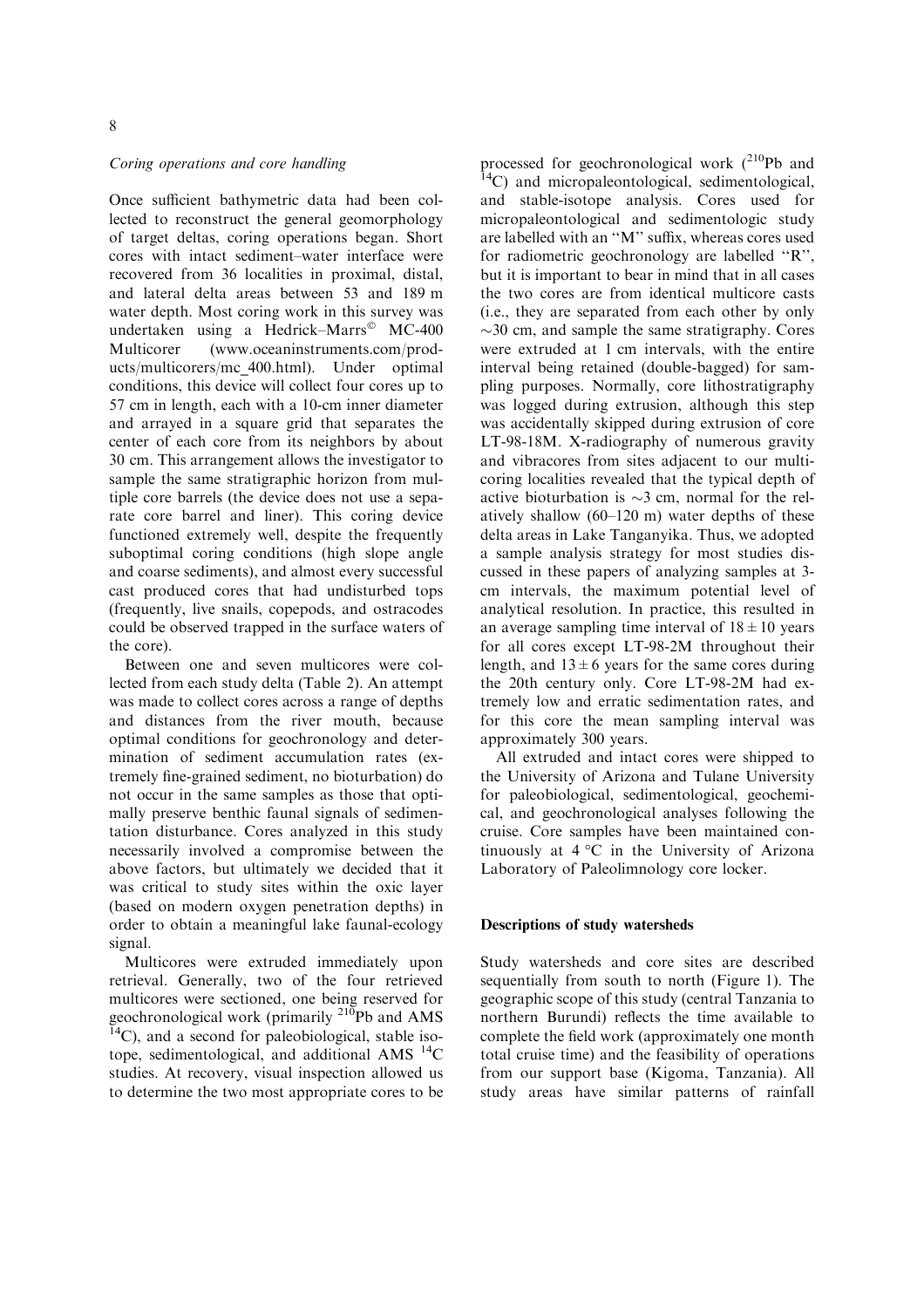## Coring operations and core handling

Once sufficient bathymetric data had been collected to reconstruct the general geomorphology of target deltas, coring operations began. Short cores with intact sediment–water interface were recovered from 36 localities in proximal, distal, and lateral delta areas between 53 and 189 m water depth. Most coring work in this survey was undertaken using a Hedrick–Marrs<sup>®</sup> MC-400 Multicorer (www.oceaninstruments.com/products/multicorers/mc\_400.html). Under optimal conditions, this device will collect four cores up to 57 cm in length, each with a 10-cm inner diameter and arrayed in a square grid that separates the center of each core from its neighbors by about 30 cm. This arrangement allows the investigator to sample the same stratigraphic horizon from multiple core barrels (the device does not use a separate core barrel and liner). This coring device functioned extremely well, despite the frequently suboptimal coring conditions (high slope angle and coarse sediments), and almost every successful cast produced cores that had undisturbed tops (frequently, live snails, copepods, and ostracodes could be observed trapped in the surface waters of the core).

Between one and seven multicores were collected from each study delta (Table 2). An attempt was made to collect cores across a range of depths and distances from the river mouth, because optimal conditions for geochronology and determination of sediment accumulation rates (extremely fine-grained sediment, no bioturbation) do not occur in the same samples as those that optimally preserve benthic faunal signals of sedimentation disturbance. Cores analyzed in this study necessarily involved a compromise between the above factors, but ultimately we decided that it was critical to study sites within the oxic layer (based on modern oxygen penetration depths) in order to obtain a meaningful lake faunal-ecology signal.

Multicores were extruded immediately upon retrieval. Generally, two of the four retrieved multicores were sectioned, one being reserved for geochronological work (primarily <sup>210</sup>Pb and AMS  $I<sup>14</sup>C$ ), and a second for paleobiological, stable isotope, sedimentological, and additional AMS  $^{14}$ C studies. At recovery, visual inspection allowed us to determine the two most appropriate cores to be

processed for geochronological work  $(^{210}Pb)$  and <sup>14</sup>C) and micropaleontological, sedimentological, and stable-isotope analysis. Cores used for micropaleontological and sedimentologic study are labelled with an ''M'' suffix, whereas cores used for radiometric geochronology are labelled ''R'', but it is important to bear in mind that in all cases the two cores are from identical multicore casts (i.e., they are separated from each other by only  $\sim$ 30 cm, and sample the same stratigraphy. Cores were extruded at 1 cm intervals, with the entire interval being retained (double-bagged) for sampling purposes. Normally, core lithostratigraphy was logged during extrusion, although this step was accidentally skipped during extrusion of core LT-98-18M. X-radiography of numerous gravity and vibracores from sites adjacent to our multicoring localities revealed that the typical depth of active bioturbation is  $\sim$ 3 cm, normal for the relatively shallow (60–120 m) water depths of these delta areas in Lake Tanganyika. Thus, we adopted a sample analysis strategy for most studies discussed in these papers of analyzing samples at 3 cm intervals, the maximum potential level of analytical resolution. In practice, this resulted in an average sampling time interval of  $18 \pm 10$  years for all cores except LT-98-2M throughout their length, and  $13 \pm 6$  years for the same cores during the 20th century only. Core LT-98-2M had extremely low and erratic sedimentation rates, and for this core the mean sampling interval was approximately 300 years.

All extruded and intact cores were shipped to the University of Arizona and Tulane University for paleobiological, sedimentological, geochemical, and geochronological analyses following the cruise. Core samples have been maintained continuously at  $4^{\circ}C$  in the University of Arizona Laboratory of Paleolimnology core locker.

## Descriptions of study watersheds

Study watersheds and core sites are described sequentially from south to north (Figure 1). The geographic scope of this study (central Tanzania to northern Burundi) reflects the time available to complete the field work (approximately one month total cruise time) and the feasibility of operations from our support base (Kigoma, Tanzania). All study areas have similar patterns of rainfall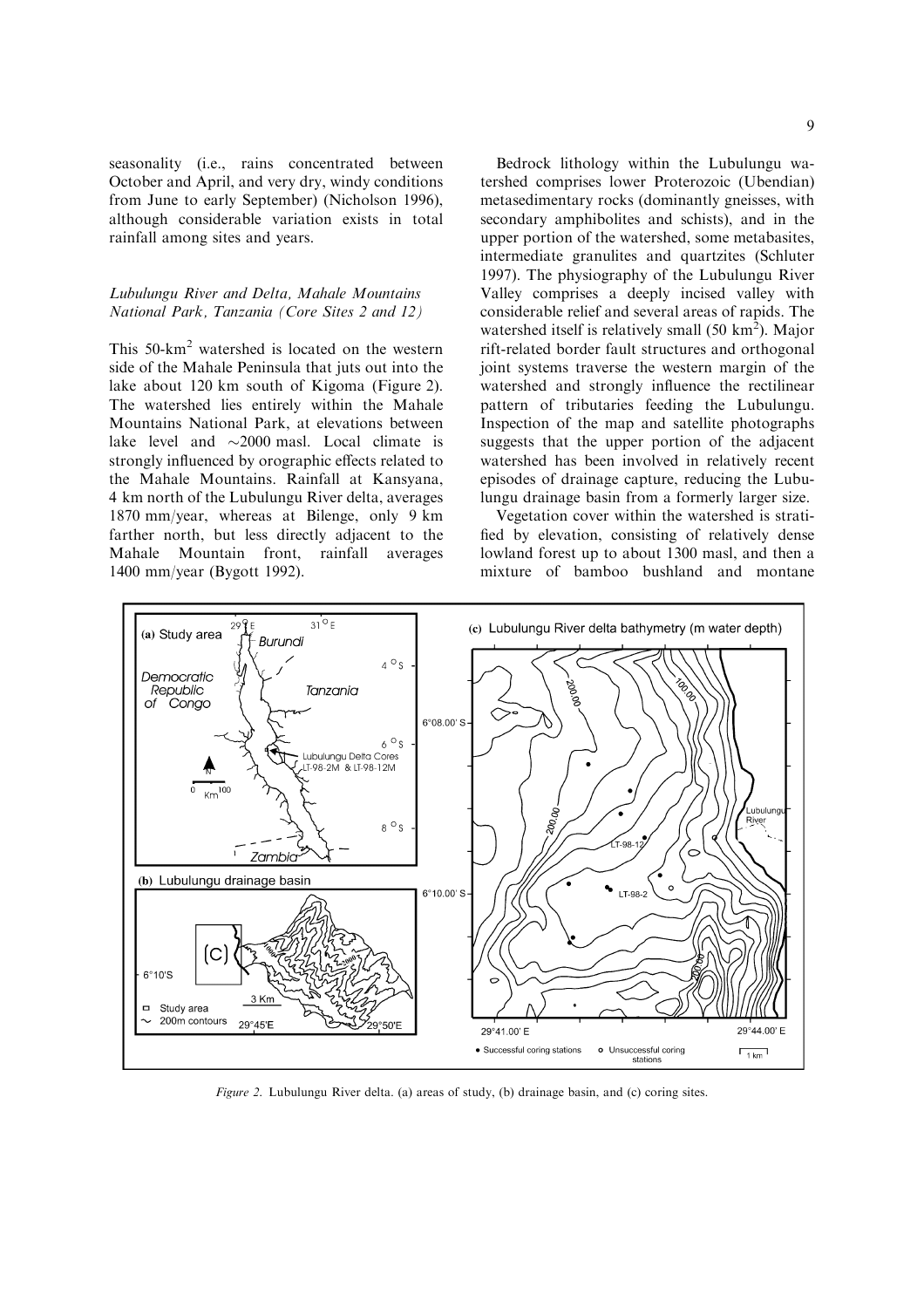seasonality (i.e., rains concentrated between October and April, and very dry, windy conditions from June to early September) (Nicholson 1996), although considerable variation exists in total rainfall among sites and years.

# Lubulungu River and Delta, Mahale Mountains National Park, Tanzania (Core Sites 2 and 12)

This 50-km<sup>2</sup> watershed is located on the western side of the Mahale Peninsula that juts out into the lake about 120 km south of Kigoma (Figure 2). The watershed lies entirely within the Mahale Mountains National Park, at elevations between lake level and  $\sim$ 2000 masl. Local climate is strongly influenced by orographic effects related to the Mahale Mountains. Rainfall at Kansyana, 4 km north of the Lubulungu River delta, averages 1870 mm/year, whereas at Bilenge, only 9 km farther north, but less directly adjacent to the Mahale Mountain front, rainfall averages 1400 mm/year (Bygott 1992).

Bedrock lithology within the Lubulungu watershed comprises lower Proterozoic (Ubendian) metasedimentary rocks (dominantly gneisses, with secondary amphibolites and schists), and in the upper portion of the watershed, some metabasites, intermediate granulites and quartzites (Schluter 1997). The physiography of the Lubulungu River Valley comprises a deeply incised valley with considerable relief and several areas of rapids. The watershed itself is relatively small  $(50 \text{ km}^2)$ . Major rift-related border fault structures and orthogonal joint systems traverse the western margin of the watershed and strongly influence the rectilinear pattern of tributaries feeding the Lubulungu. Inspection of the map and satellite photographs suggests that the upper portion of the adjacent watershed has been involved in relatively recent episodes of drainage capture, reducing the Lubulungu drainage basin from a formerly larger size.

Vegetation cover within the watershed is stratified by elevation, consisting of relatively dense lowland forest up to about 1300 masl, and then a mixture of bamboo bushland and montane



Figure 2. Lubulungu River delta. (a) areas of study, (b) drainage basin, and (c) coring sites.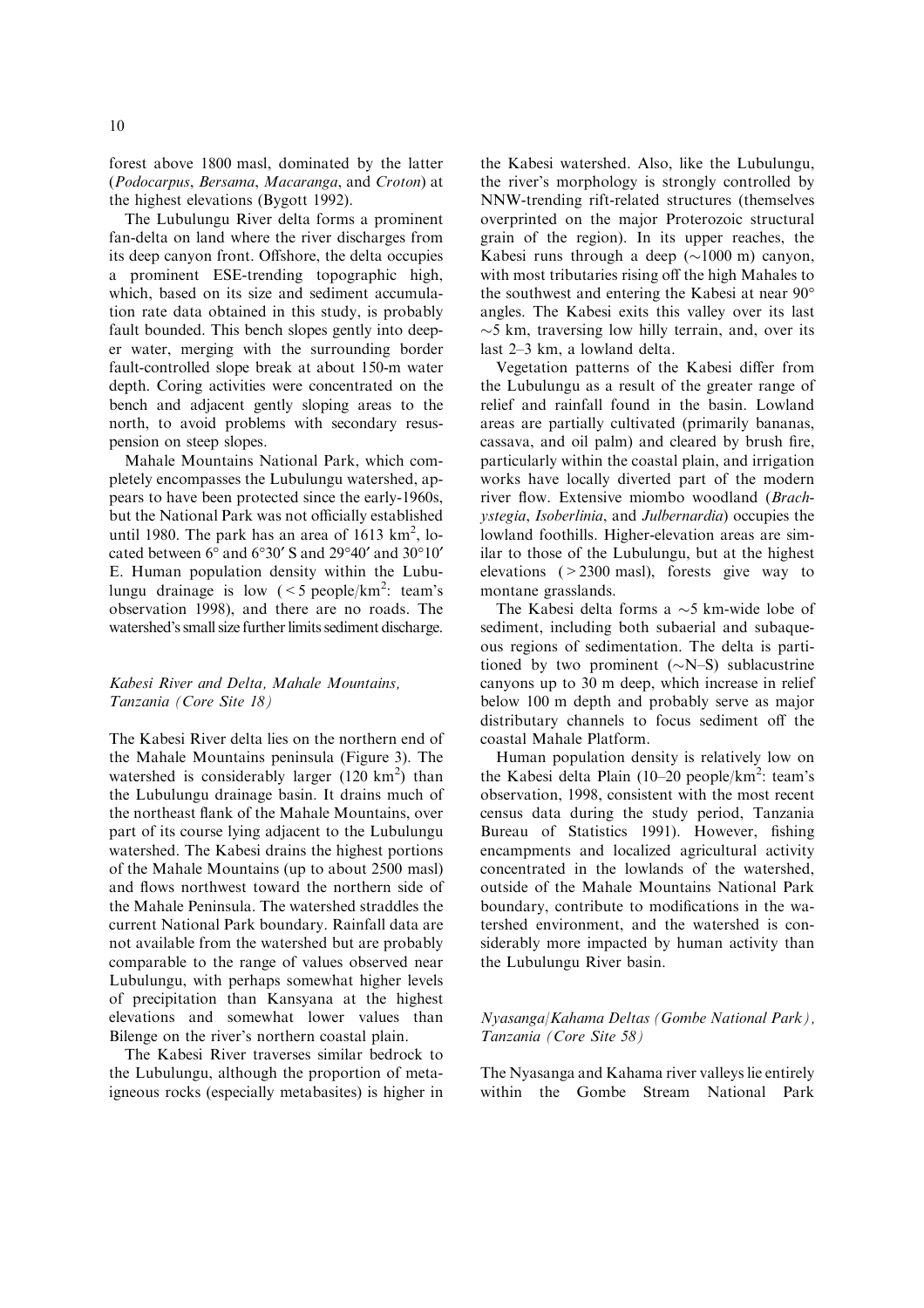forest above 1800 masl, dominated by the latter (Podocarpus, Bersama, Macaranga, and Croton) at the highest elevations (Bygott 1992).

The Lubulungu River delta forms a prominent fan-delta on land where the river discharges from its deep canyon front. Offshore, the delta occupies a prominent ESE-trending topographic high, which, based on its size and sediment accumulation rate data obtained in this study, is probably fault bounded. This bench slopes gently into deeper water, merging with the surrounding border fault-controlled slope break at about 150-m water depth. Coring activities were concentrated on the bench and adjacent gently sloping areas to the north, to avoid problems with secondary resuspension on steep slopes.

Mahale Mountains National Park, which completely encompasses the Lubulungu watershed, appears to have been protected since the early-1960s, but the National Park was not officially established until 1980. The park has an area of  $1613 \text{ km}^2$ , located between 6° and 6°30′ S and 29°40′ and 30°10′ E. Human population density within the Lubulungu drainage is low  $(< 5$  people/km<sup>2</sup>: team's observation 1998), and there are no roads. The watershed's small size further limits sediment discharge.

## Kabesi River and Delta, Mahale Mountains, Tanzania (Core Site 18)

The Kabesi River delta lies on the northern end of the Mahale Mountains peninsula (Figure 3). The watershed is considerably larger  $(120 \text{ km}^2)$  than the Lubulungu drainage basin. It drains much of the northeast flank of the Mahale Mountains, over part of its course lying adjacent to the Lubulungu watershed. The Kabesi drains the highest portions of the Mahale Mountains (up to about 2500 masl) and flows northwest toward the northern side of the Mahale Peninsula. The watershed straddles the current National Park boundary. Rainfall data are not available from the watershed but are probably comparable to the range of values observed near Lubulungu, with perhaps somewhat higher levels of precipitation than Kansyana at the highest elevations and somewhat lower values than Bilenge on the river's northern coastal plain.

The Kabesi River traverses similar bedrock to the Lubulungu, although the proportion of metaigneous rocks (especially metabasites) is higher in the Kabesi watershed. Also, like the Lubulungu, the river's morphology is strongly controlled by NNW-trending rift-related structures (themselves overprinted on the major Proterozoic structural grain of the region). In its upper reaches, the Kabesi runs through a deep  $(\sim 1000 \text{ m})$  canyon, with most tributaries rising off the high Mahales to the southwest and entering the Kabesi at near 90° angles. The Kabesi exits this valley over its last  $\sim$ 5 km, traversing low hilly terrain, and, over its last 2–3 km, a lowland delta.

Vegetation patterns of the Kabesi differ from the Lubulungu as a result of the greater range of relief and rainfall found in the basin. Lowland areas are partially cultivated (primarily bananas, cassava, and oil palm) and cleared by brush fire, particularly within the coastal plain, and irrigation works have locally diverted part of the modern river flow. Extensive miombo woodland (Brachystegia, Isoberlinia, and Julbernardia) occupies the lowland foothills. Higher-elevation areas are similar to those of the Lubulungu, but at the highest elevations  $(2300 \text{ mas})$ , forests give way to montane grasslands.

The Kabesi delta forms a  $\sim$ 5 km-wide lobe of sediment, including both subaerial and subaqueous regions of sedimentation. The delta is partitioned by two prominent  $(\sim N-S)$  sublacustrine canyons up to 30 m deep, which increase in relief below 100 m depth and probably serve as major distributary channels to focus sediment off the coastal Mahale Platform.

Human population density is relatively low on the Kabesi delta Plain (10-20 people/ $km^2$ : team's observation, 1998, consistent with the most recent census data during the study period, Tanzania Bureau of Statistics 1991). However, fishing encampments and localized agricultural activity concentrated in the lowlands of the watershed, outside of the Mahale Mountains National Park boundary, contribute to modifications in the watershed environment, and the watershed is considerably more impacted by human activity than the Lubulungu River basin.

# Nyasanga/Kahama Deltas (Gombe National Park), Tanzania (Core Site 58)

The Nyasanga and Kahama river valleys lie entirely within the Gombe Stream National Park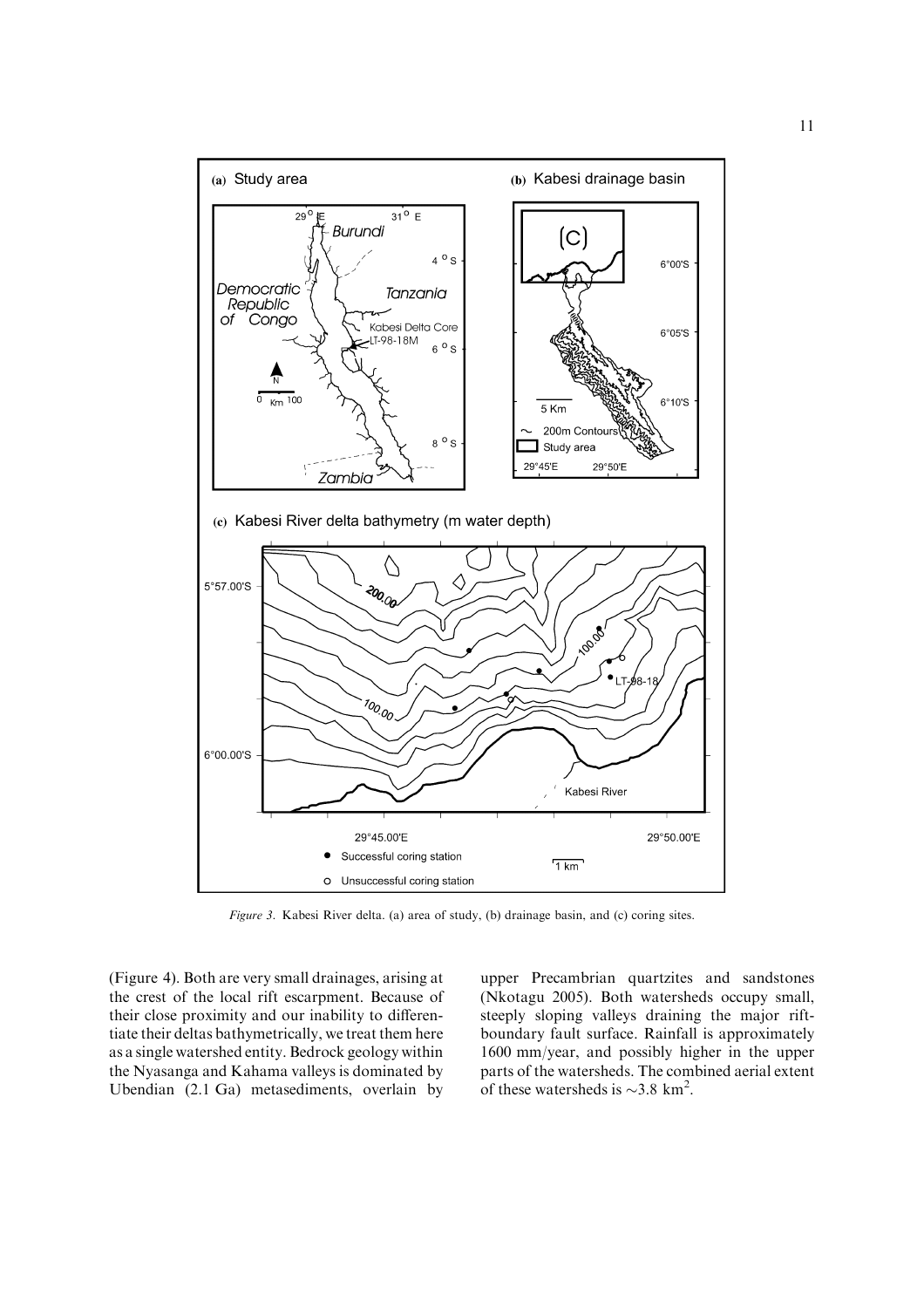

Figure 3. Kabesi River delta. (a) area of study, (b) drainage basin, and (c) coring sites.

(Figure 4). Both are very small drainages, arising at the crest of the local rift escarpment. Because of their close proximity and our inability to differentiate their deltas bathymetrically, we treat them here as a single watershed entity. Bedrock geology within the Nyasanga and Kahama valleys is dominated by Ubendian (2.1 Ga) metasediments, overlain by

upper Precambrian quartzites and sandstones (Nkotagu 2005). Both watersheds occupy small, steeply sloping valleys draining the major riftboundary fault surface. Rainfall is approximately 1600 mm/year, and possibly higher in the upper parts of the watersheds. The combined aerial extent of these watersheds is  $\sim$ 3.8 km<sup>2</sup>.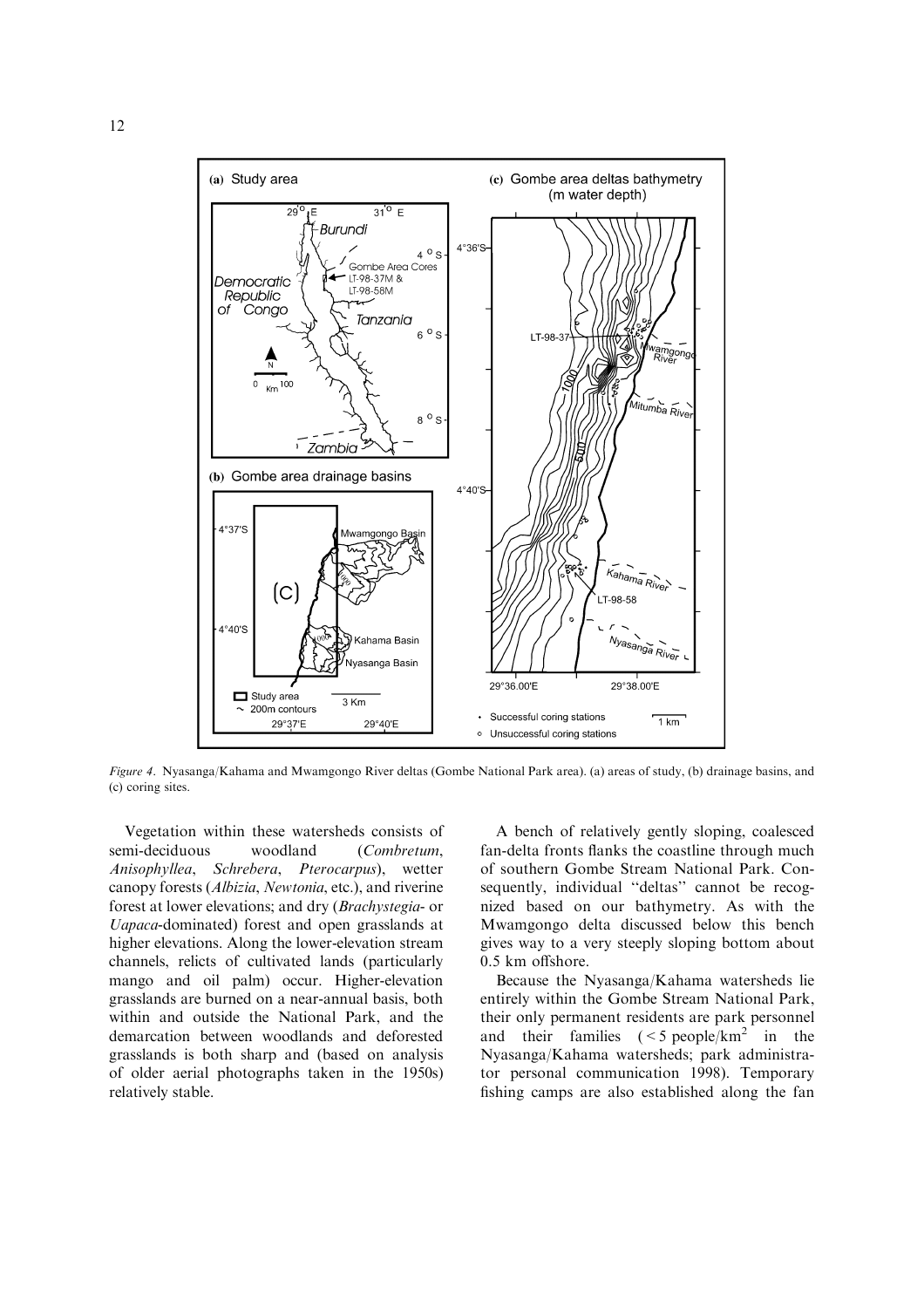

Figure 4. Nyasanga/Kahama and Mwamgongo River deltas (Gombe National Park area). (a) areas of study, (b) drainage basins, and (c) coring sites.

Vegetation within these watersheds consists of semi-deciduous woodland (Combretum, Anisophyllea, Schrebera, Pterocarpus), wetter canopy forests (Albizia, Newtonia, etc.), and riverine forest at lower elevations; and dry (Brachystegia- or Uapaca-dominated) forest and open grasslands at higher elevations. Along the lower-elevation stream channels, relicts of cultivated lands (particularly mango and oil palm) occur. Higher-elevation grasslands are burned on a near-annual basis, both within and outside the National Park, and the demarcation between woodlands and deforested grasslands is both sharp and (based on analysis of older aerial photographs taken in the 1950s) relatively stable.

A bench of relatively gently sloping, coalesced fan-delta fronts flanks the coastline through much of southern Gombe Stream National Park. Consequently, individual ''deltas'' cannot be recognized based on our bathymetry. As with the Mwamgongo delta discussed below this bench gives way to a very steeply sloping bottom about 0.5 km offshore.

Because the Nyasanga/Kahama watersheds lie entirely within the Gombe Stream National Park, their only permanent residents are park personnel and their families  $(<5 \text{ people/km}^2)$  in the Nyasanga/Kahama watersheds; park administrator personal communication 1998). Temporary fishing camps are also established along the fan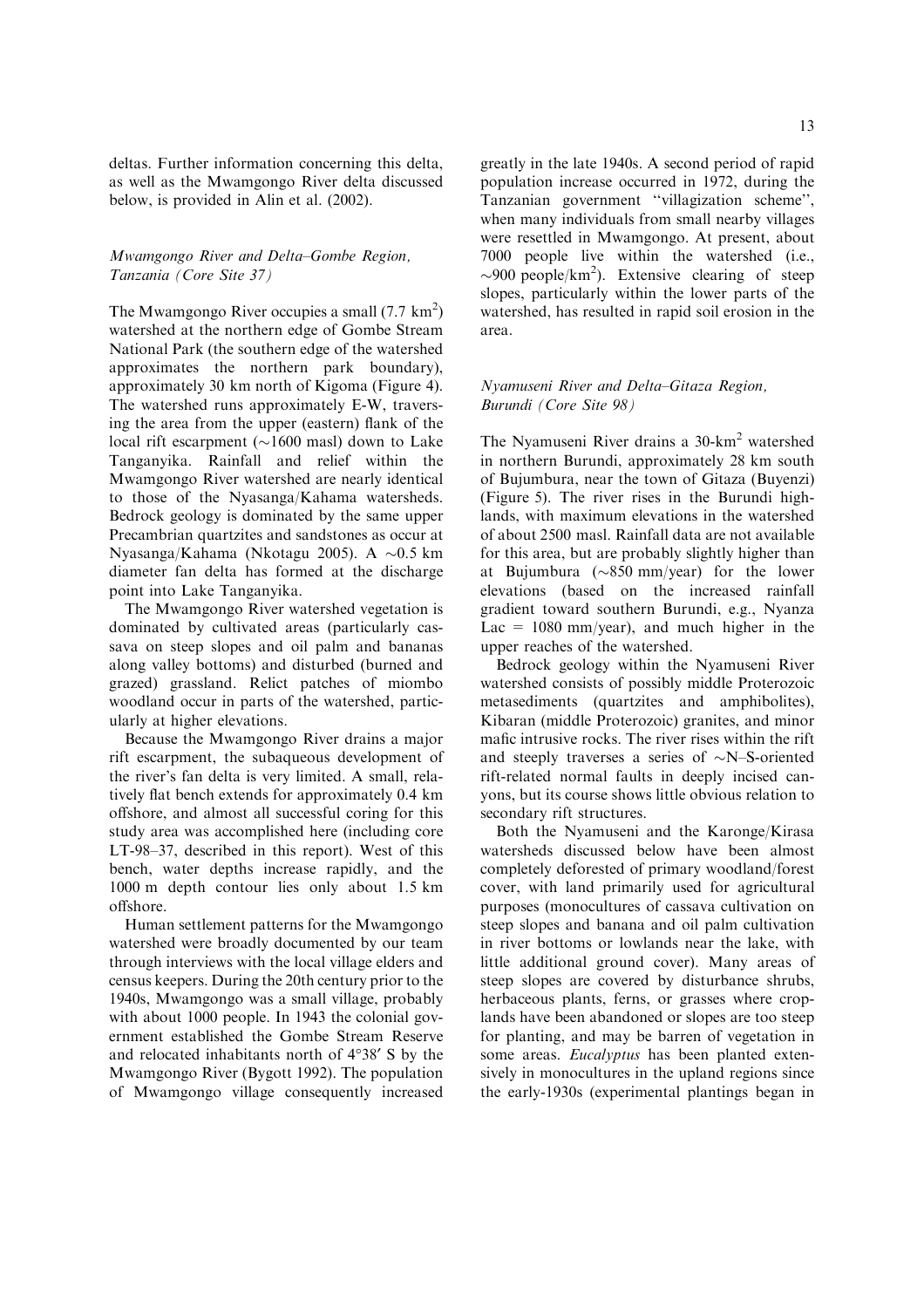deltas. Further information concerning this delta, as well as the Mwamgongo River delta discussed below, is provided in Alin et al. (2002).

# Mwamgongo River and Delta–Gombe Region, Tanzania (Core Site 37)

The Mwamgongo River occupies a small  $(7.7 \text{ km}^2)$ watershed at the northern edge of Gombe Stream National Park (the southern edge of the watershed approximates the northern park boundary), approximately 30 km north of Kigoma (Figure 4). The watershed runs approximately E-W, traversing the area from the upper (eastern) flank of the local rift escarpment ( $\sim$ 1600 masl) down to Lake Tanganyika. Rainfall and relief within the Mwamgongo River watershed are nearly identical to those of the Nyasanga/Kahama watersheds. Bedrock geology is dominated by the same upper Precambrian quartzites and sandstones as occur at Nyasanga/Kahama (Nkotagu 2005). A  $\sim$ 0.5 km diameter fan delta has formed at the discharge point into Lake Tanganyika.

The Mwamgongo River watershed vegetation is dominated by cultivated areas (particularly cassava on steep slopes and oil palm and bananas along valley bottoms) and disturbed (burned and grazed) grassland. Relict patches of miombo woodland occur in parts of the watershed, particularly at higher elevations.

Because the Mwamgongo River drains a major rift escarpment, the subaqueous development of the river's fan delta is very limited. A small, relatively flat bench extends for approximately 0.4 km offshore, and almost all successful coring for this study area was accomplished here (including core LT-98–37, described in this report). West of this bench, water depths increase rapidly, and the 1000 m depth contour lies only about 1.5 km offshore.

Human settlement patterns for the Mwamgongo watershed were broadly documented by our team through interviews with the local village elders and census keepers. During the 20th century prior to the 1940s, Mwamgongo was a small village, probably with about 1000 people. In 1943 the colonial government established the Gombe Stream Reserve and relocated inhabitants north of  $4^{\circ}38'$  S by the Mwamgongo River (Bygott 1992). The population of Mwamgongo village consequently increased

13

greatly in the late 1940s. A second period of rapid population increase occurred in 1972, during the Tanzanian government ''villagization scheme'', when many individuals from small nearby villages were resettled in Mwamgongo. At present, about 7000 people live within the watershed (i.e.,  $\sim$ 900 people/km<sup>2</sup>). Extensive clearing of steep slopes, particularly within the lower parts of the watershed, has resulted in rapid soil erosion in the area.

# Nyamuseni River and Delta–Gitaza Region, Burundi (Core Site 98)

The Nyamuseni River drains a 30-km<sup>2</sup> watershed in northern Burundi, approximately 28 km south of Bujumbura, near the town of Gitaza (Buyenzi) (Figure 5). The river rises in the Burundi highlands, with maximum elevations in the watershed of about 2500 masl. Rainfall data are not available for this area, but are probably slightly higher than at Bujumbura ( $\sim$ 850 mm/year) for the lower elevations (based on the increased rainfall gradient toward southern Burundi, e.g., Nyanza  $Lac = 1080$  mm/year), and much higher in the upper reaches of the watershed.

Bedrock geology within the Nyamuseni River watershed consists of possibly middle Proterozoic metasediments (quartzites and amphibolites), Kibaran (middle Proterozoic) granites, and minor mafic intrusive rocks. The river rises within the rift and steeply traverses a series of  $\sim$ N–S-oriented rift-related normal faults in deeply incised canyons, but its course shows little obvious relation to secondary rift structures.

Both the Nyamuseni and the Karonge/Kirasa watersheds discussed below have been almost completely deforested of primary woodland/forest cover, with land primarily used for agricultural purposes (monocultures of cassava cultivation on steep slopes and banana and oil palm cultivation in river bottoms or lowlands near the lake, with little additional ground cover). Many areas of steep slopes are covered by disturbance shrubs, herbaceous plants, ferns, or grasses where croplands have been abandoned or slopes are too steep for planting, and may be barren of vegetation in some areas. *Eucalyptus* has been planted extensively in monocultures in the upland regions since the early-1930s (experimental plantings began in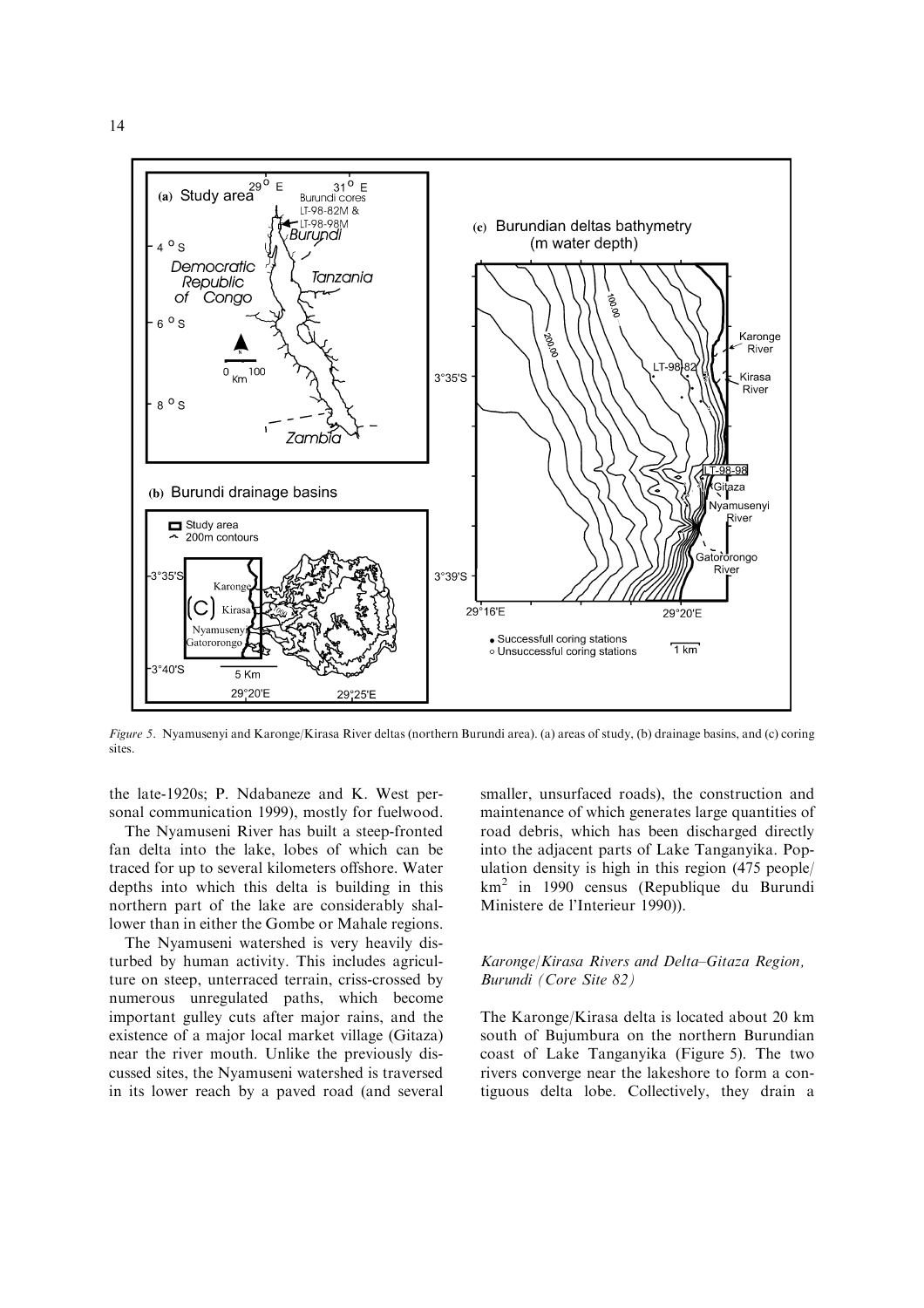

Figure 5. Nyamusenyi and Karonge/Kirasa River deltas (northern Burundi area). (a) areas of study, (b) drainage basins, and (c) coring sites.

the late-1920s; P. Ndabaneze and K. West personal communication 1999), mostly for fuelwood.

The Nyamuseni River has built a steep-fronted fan delta into the lake, lobes of which can be traced for up to several kilometers offshore. Water depths into which this delta is building in this northern part of the lake are considerably shallower than in either the Gombe or Mahale regions.

The Nyamuseni watershed is very heavily disturbed by human activity. This includes agriculture on steep, unterraced terrain, criss-crossed by numerous unregulated paths, which become important gulley cuts after major rains, and the existence of a major local market village (Gitaza) near the river mouth. Unlike the previously discussed sites, the Nyamuseni watershed is traversed in its lower reach by a paved road (and several

smaller, unsurfaced roads), the construction and maintenance of which generates large quantities of road debris, which has been discharged directly into the adjacent parts of Lake Tanganyika. Population density is high in this region (475 people/  $km<sup>2</sup>$  in 1990 census (Republique du Burundi Ministere de l'Interieur 1990)).

# Karonge/Kirasa Rivers and Delta–Gitaza Region, Burundi (Core Site 82)

The Karonge/Kirasa delta is located about 20 km south of Bujumbura on the northern Burundian coast of Lake Tanganyika (Figure 5). The two rivers converge near the lakeshore to form a contiguous delta lobe. Collectively, they drain a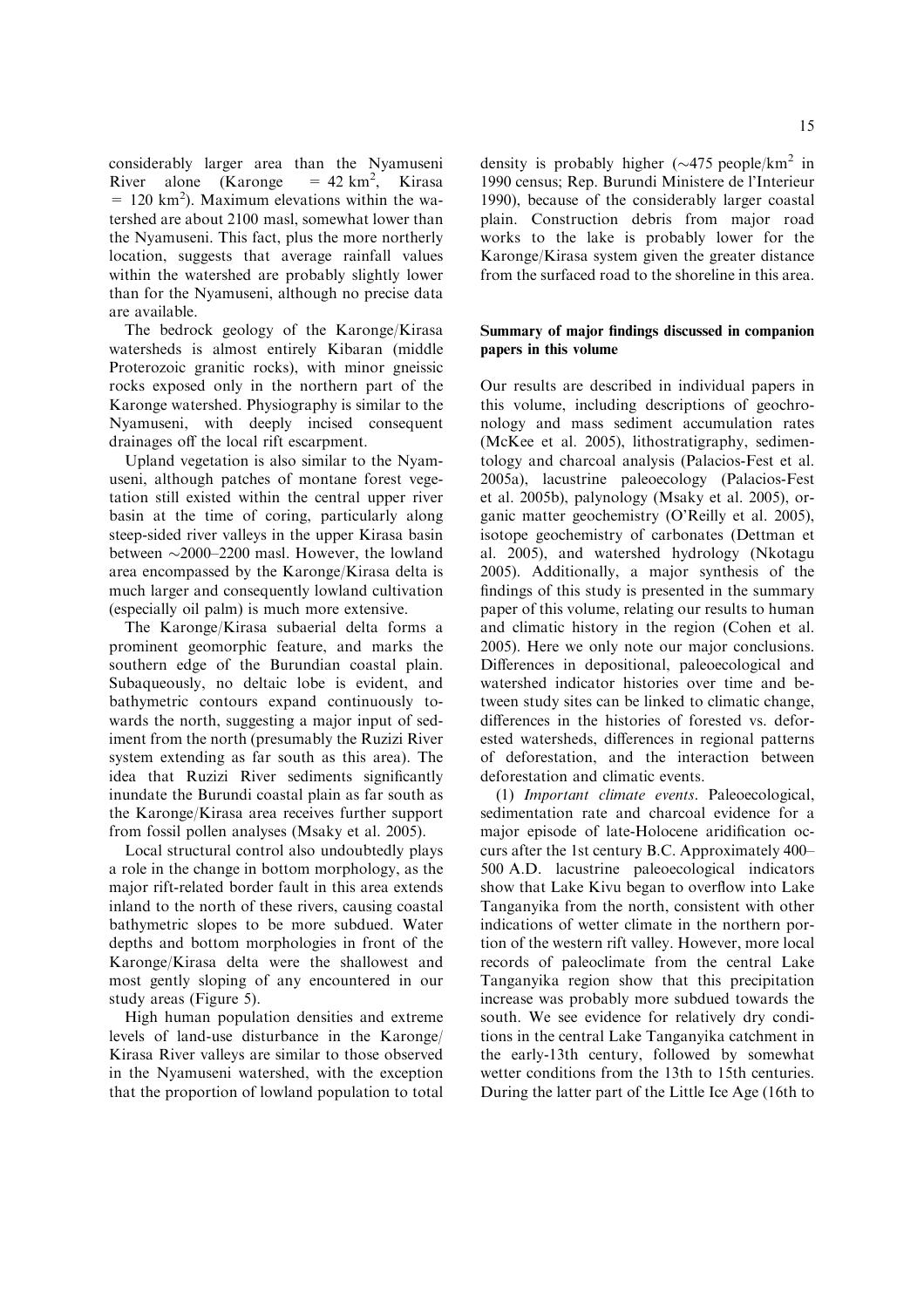considerably larger area than the Nyamuseni River alone (Karonge  $= 42$  km<sup>2</sup>, Kirasa  $= 120$  km<sup>2</sup>). Maximum elevations within the watershed are about 2100 masl, somewhat lower than the Nyamuseni. This fact, plus the more northerly location, suggests that average rainfall values within the watershed are probably slightly lower than for the Nyamuseni, although no precise data are available.

The bedrock geology of the Karonge/Kirasa watersheds is almost entirely Kibaran (middle Proterozoic granitic rocks), with minor gneissic rocks exposed only in the northern part of the Karonge watershed. Physiography is similar to the Nyamuseni, with deeply incised consequent drainages off the local rift escarpment.

Upland vegetation is also similar to the Nyamuseni, although patches of montane forest vegetation still existed within the central upper river basin at the time of coring, particularly along steep-sided river valleys in the upper Kirasa basin between  $\sim$ 2000–2200 masl. However, the lowland area encompassed by the Karonge/Kirasa delta is much larger and consequently lowland cultivation (especially oil palm) is much more extensive.

The Karonge/Kirasa subaerial delta forms a prominent geomorphic feature, and marks the southern edge of the Burundian coastal plain. Subaqueously, no deltaic lobe is evident, and bathymetric contours expand continuously towards the north, suggesting a major input of sediment from the north (presumably the Ruzizi River system extending as far south as this area). The idea that Ruzizi River sediments significantly inundate the Burundi coastal plain as far south as the Karonge/Kirasa area receives further support from fossil pollen analyses (Msaky et al. 2005).

Local structural control also undoubtedly plays a role in the change in bottom morphology, as the major rift-related border fault in this area extends inland to the north of these rivers, causing coastal bathymetric slopes to be more subdued. Water depths and bottom morphologies in front of the Karonge/Kirasa delta were the shallowest and most gently sloping of any encountered in our study areas (Figure 5).

High human population densities and extreme levels of land-use disturbance in the Karonge/ Kirasa River valleys are similar to those observed in the Nyamuseni watershed, with the exception that the proportion of lowland population to total density is probably higher  $(\sim 475 \text{ people/km}^2 \text{ in}$ 1990 census; Rep. Burundi Ministere de l'Interieur 1990), because of the considerably larger coastal plain. Construction debris from major road works to the lake is probably lower for the Karonge/Kirasa system given the greater distance from the surfaced road to the shoreline in this area.

# Summary of major findings discussed in companion papers in this volume

Our results are described in individual papers in this volume, including descriptions of geochronology and mass sediment accumulation rates (McKee et al. 2005), lithostratigraphy, sedimentology and charcoal analysis (Palacios-Fest et al. 2005a), lacustrine paleoecology (Palacios-Fest et al. 2005b), palynology (Msaky et al. 2005), organic matter geochemistry (O'Reilly et al. 2005), isotope geochemistry of carbonates (Dettman et al. 2005), and watershed hydrology (Nkotagu 2005). Additionally, a major synthesis of the findings of this study is presented in the summary paper of this volume, relating our results to human and climatic history in the region (Cohen et al. 2005). Here we only note our major conclusions. Differences in depositional, paleoecological and watershed indicator histories over time and between study sites can be linked to climatic change, differences in the histories of forested vs. deforested watersheds, differences in regional patterns of deforestation, and the interaction between deforestation and climatic events.

(1) Important climate events. Paleoecological, sedimentation rate and charcoal evidence for a major episode of late-Holocene aridification occurs after the 1st century B.C. Approximately 400– 500 A.D. lacustrine paleoecological indicators show that Lake Kivu began to overflow into Lake Tanganyika from the north, consistent with other indications of wetter climate in the northern portion of the western rift valley. However, more local records of paleoclimate from the central Lake Tanganyika region show that this precipitation increase was probably more subdued towards the south. We see evidence for relatively dry conditions in the central Lake Tanganyika catchment in the early-13th century, followed by somewhat wetter conditions from the 13th to 15th centuries. During the latter part of the Little Ice Age (16th to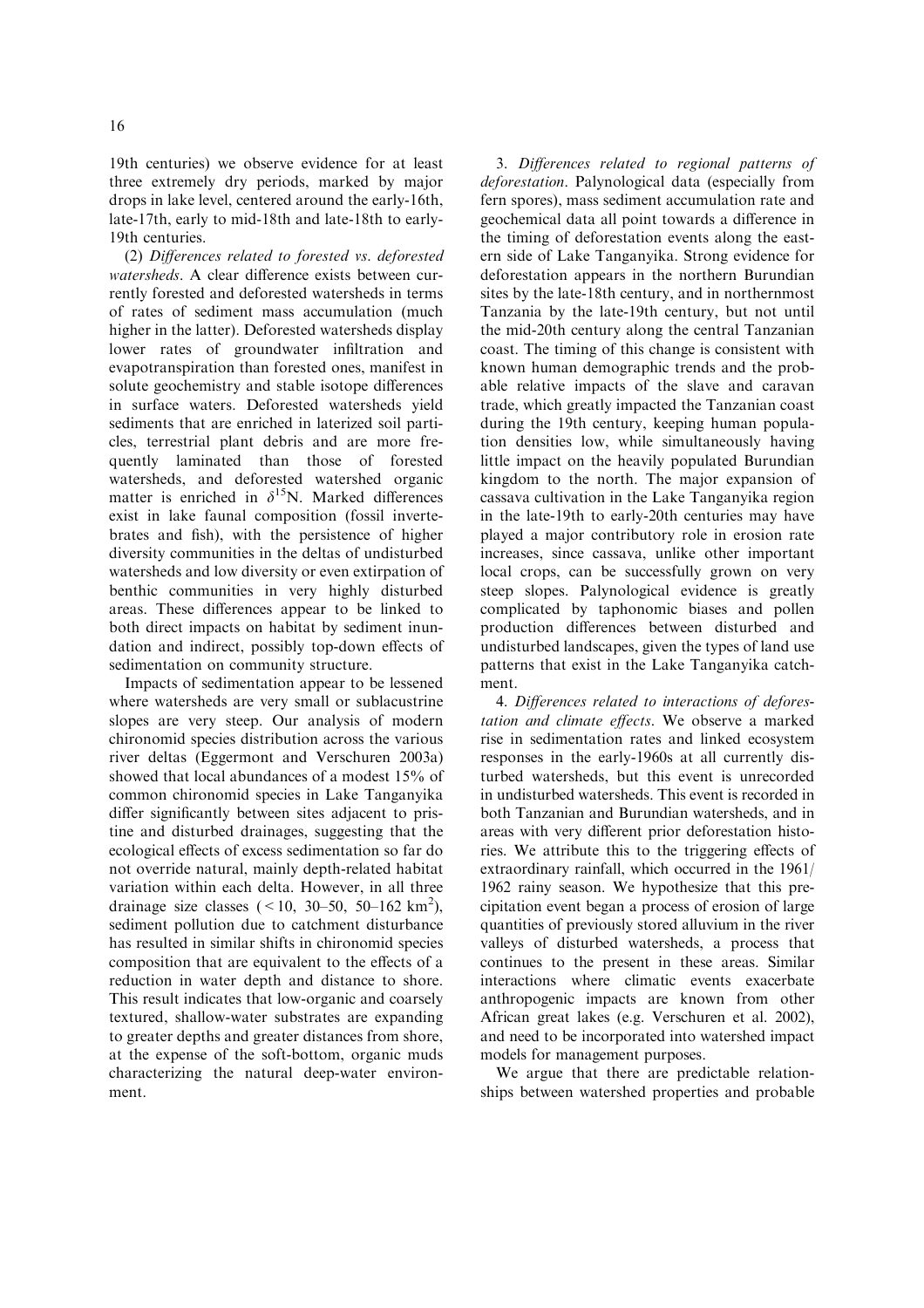19th centuries) we observe evidence for at least three extremely dry periods, marked by major drops in lake level, centered around the early-16th, late-17th, early to mid-18th and late-18th to early-19th centuries.

(2) Differences related to forested vs. deforested watersheds. A clear difference exists between currently forested and deforested watersheds in terms of rates of sediment mass accumulation (much higher in the latter). Deforested watersheds display lower rates of groundwater infiltration and evapotranspiration than forested ones, manifest in solute geochemistry and stable isotope differences in surface waters. Deforested watersheds yield sediments that are enriched in laterized soil particles, terrestrial plant debris and are more frequently laminated than those of forested watersheds, and deforested watershed organic matter is enriched in  $\delta^{15}N$ . Marked differences exist in lake faunal composition (fossil invertebrates and fish), with the persistence of higher diversity communities in the deltas of undisturbed watersheds and low diversity or even extirpation of benthic communities in very highly disturbed areas. These differences appear to be linked to both direct impacts on habitat by sediment inundation and indirect, possibly top-down effects of sedimentation on community structure.

Impacts of sedimentation appear to be lessened where watersheds are very small or sublacustrine slopes are very steep. Our analysis of modern chironomid species distribution across the various river deltas (Eggermont and Verschuren 2003a) showed that local abundances of a modest 15% of common chironomid species in Lake Tanganyika differ significantly between sites adjacent to pristine and disturbed drainages, suggesting that the ecological effects of excess sedimentation so far do not override natural, mainly depth-related habitat variation within each delta. However, in all three drainage size classes  $(< 10, 30-50, 50-162 \text{ km}^2)$ , sediment pollution due to catchment disturbance has resulted in similar shifts in chironomid species composition that are equivalent to the effects of a reduction in water depth and distance to shore. This result indicates that low-organic and coarsely textured, shallow-water substrates are expanding to greater depths and greater distances from shore, at the expense of the soft-bottom, organic muds characterizing the natural deep-water environment.

3. Differences related to regional patterns of deforestation. Palynological data (especially from fern spores), mass sediment accumulation rate and geochemical data all point towards a difference in the timing of deforestation events along the eastern side of Lake Tanganyika. Strong evidence for deforestation appears in the northern Burundian sites by the late-18th century, and in northernmost Tanzania by the late-19th century, but not until the mid-20th century along the central Tanzanian coast. The timing of this change is consistent with known human demographic trends and the probable relative impacts of the slave and caravan trade, which greatly impacted the Tanzanian coast during the 19th century, keeping human population densities low, while simultaneously having little impact on the heavily populated Burundian kingdom to the north. The major expansion of cassava cultivation in the Lake Tanganyika region in the late-19th to early-20th centuries may have played a major contributory role in erosion rate increases, since cassava, unlike other important local crops, can be successfully grown on very steep slopes. Palynological evidence is greatly complicated by taphonomic biases and pollen production differences between disturbed and undisturbed landscapes, given the types of land use patterns that exist in the Lake Tanganyika catchment.

4. Differences related to interactions of deforestation and climate effects. We observe a marked rise in sedimentation rates and linked ecosystem responses in the early-1960s at all currently disturbed watersheds, but this event is unrecorded in undisturbed watersheds. This event is recorded in both Tanzanian and Burundian watersheds, and in areas with very different prior deforestation histories. We attribute this to the triggering effects of extraordinary rainfall, which occurred in the 1961/ 1962 rainy season. We hypothesize that this precipitation event began a process of erosion of large quantities of previously stored alluvium in the river valleys of disturbed watersheds, a process that continues to the present in these areas. Similar interactions where climatic events exacerbate anthropogenic impacts are known from other African great lakes (e.g. Verschuren et al. 2002), and need to be incorporated into watershed impact models for management purposes.

We argue that there are predictable relationships between watershed properties and probable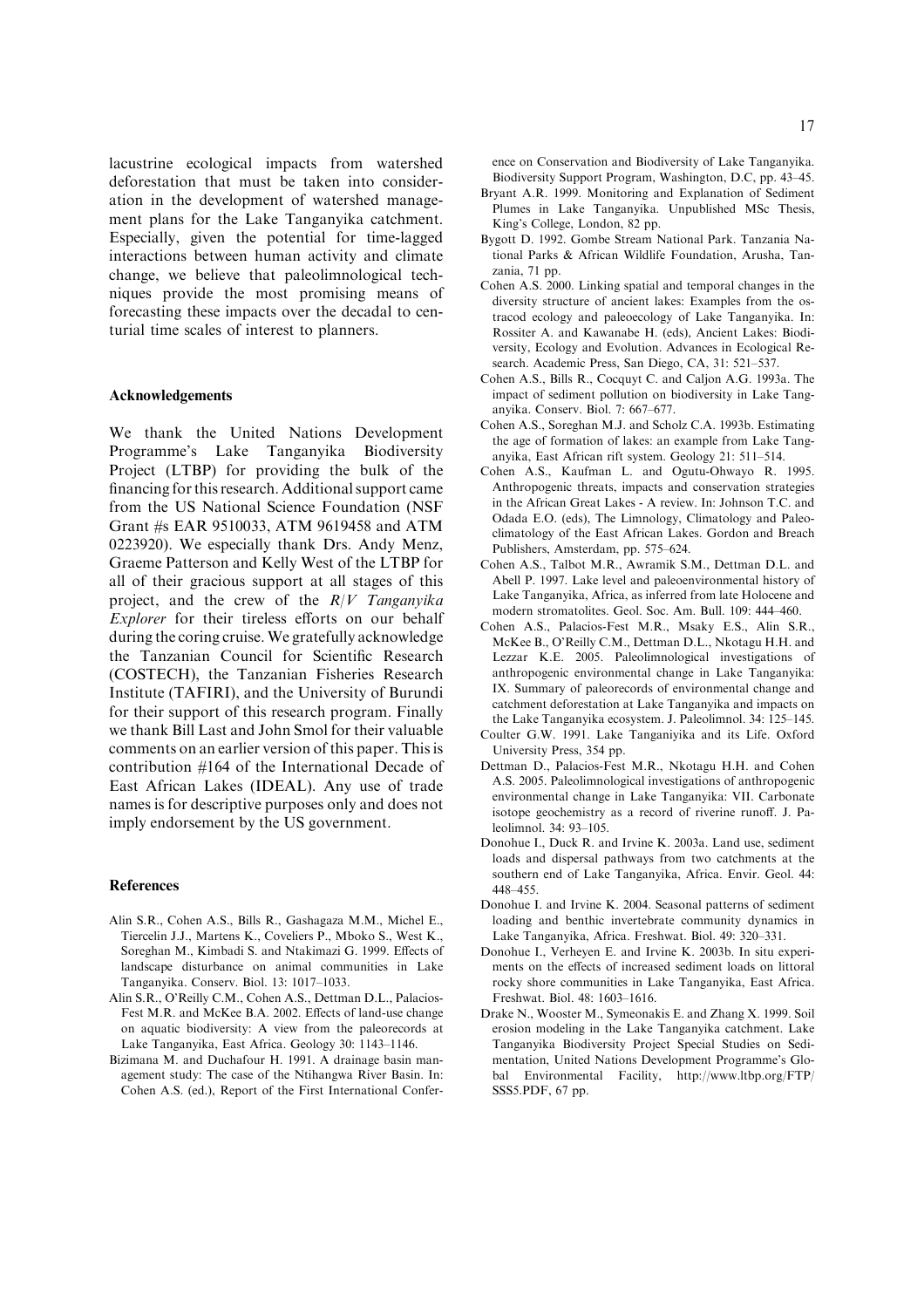lacustrine ecological impacts from watershed deforestation that must be taken into consideration in the development of watershed management plans for the Lake Tanganyika catchment. Especially, given the potential for time-lagged interactions between human activity and climate change, we believe that paleolimnological techniques provide the most promising means of forecasting these impacts over the decadal to centurial time scales of interest to planners.

#### Acknowledgements

We thank the United Nations Development Programme's Lake Tanganyika Biodiversity Project (LTBP) for providing the bulk of the financing for this research. Additional support came from the US National Science Foundation (NSF Grant #s EAR 9510033, ATM 9619458 and ATM 0223920). We especially thank Drs. Andy Menz, Graeme Patterson and Kelly West of the LTBP for all of their gracious support at all stages of this project, and the crew of the  $R/V$  Tanganyika Explorer for their tireless efforts on our behalf during the coring cruise.We gratefully acknowledge the Tanzanian Council for Scientific Research (COSTECH), the Tanzanian Fisheries Research Institute (TAFIRI), and the University of Burundi for their support of this research program. Finally we thank Bill Last and John Smol for their valuable comments on an earlier version of this paper. This is contribution #164 of the International Decade of East African Lakes (IDEAL). Any use of trade names is for descriptive purposes only and does not imply endorsement by the US government.

#### References

- Alin S.R., Cohen A.S., Bills R., Gashagaza M.M., Michel E., Tiercelin J.J., Martens K., Coveliers P., Mboko S., West K., Soreghan M., Kimbadi S. and Ntakimazi G. 1999. Effects of landscape disturbance on animal communities in Lake Tanganyika. Conserv. Biol. 13: 1017–1033.
- Alin S.R., O'Reilly C.M., Cohen A.S., Dettman D.L., Palacios-Fest M.R. and McKee B.A. 2002. Effects of land-use change on aquatic biodiversity: A view from the paleorecords at Lake Tanganyika, East Africa. Geology 30: 1143–1146.
- Bizimana M. and Duchafour H. 1991. A drainage basin management study: The case of the Ntihangwa River Basin. In: Cohen A.S. (ed.), Report of the First International Confer-

ence on Conservation and Biodiversity of Lake Tanganyika. Biodiversity Support Program, Washington, D.C, pp. 43–45.

- Bryant A.R. 1999. Monitoring and Explanation of Sediment Plumes in Lake Tanganyika. Unpublished MSc Thesis, King's College, London, 82 pp.
- Bygott D. 1992. Gombe Stream National Park. Tanzania National Parks & African Wildlife Foundation, Arusha, Tanzania, 71 pp.
- Cohen A.S. 2000. Linking spatial and temporal changes in the diversity structure of ancient lakes: Examples from the ostracod ecology and paleoecology of Lake Tanganyika. In: Rossiter A. and Kawanabe H. (eds), Ancient Lakes: Biodiversity, Ecology and Evolution. Advances in Ecological Research. Academic Press, San Diego, CA, 31: 521–537.
- Cohen A.S., Bills R., Cocquyt C. and Caljon A.G. 1993a. The impact of sediment pollution on biodiversity in Lake Tanganyika. Conserv. Biol. 7: 667–677.
- Cohen A.S., Soreghan M.J. and Scholz C.A. 1993b. Estimating the age of formation of lakes: an example from Lake Tanganyika, East African rift system. Geology 21: 511–514.
- Cohen A.S., Kaufman L. and Ogutu-Ohwayo R. 1995. Anthropogenic threats, impacts and conservation strategies in the African Great Lakes - A review. In: Johnson T.C. and Odada E.O. (eds), The Limnology, Climatology and Paleoclimatology of the East African Lakes. Gordon and Breach Publishers, Amsterdam, pp. 575–624.
- Cohen A.S., Talbot M.R., Awramik S.M., Dettman D.L. and Abell P. 1997. Lake level and paleoenvironmental history of Lake Tanganyika, Africa, as inferred from late Holocene and modern stromatolites. Geol. Soc. Am. Bull. 109: 444–460.
- Cohen A.S., Palacios-Fest M.R., Msaky E.S., Alin S.R., McKee B., O'Reilly C.M., Dettman D.L., Nkotagu H.H. and Lezzar K.E. 2005. Paleolimnological investigations of anthropogenic environmental change in Lake Tanganyika: IX. Summary of paleorecords of environmental change and catchment deforestation at Lake Tanganyika and impacts on the Lake Tanganyika ecosystem. J. Paleolimnol. 34: 125–145.
- Coulter G.W. 1991. Lake Tanganiyika and its Life. Oxford University Press, 354 pp.
- Dettman D., Palacios-Fest M.R., Nkotagu H.H. and Cohen A.S. 2005. Paleolimnological investigations of anthropogenic environmental change in Lake Tanganyika: VII. Carbonate isotope geochemistry as a record of riverine runoff. J. Paleolimnol. 34: 93–105.
- Donohue I., Duck R. and Irvine K. 2003a. Land use, sediment loads and dispersal pathways from two catchments at the southern end of Lake Tanganyika, Africa. Envir. Geol. 44: 448–455.
- Donohue I. and Irvine K. 2004. Seasonal patterns of sediment loading and benthic invertebrate community dynamics in Lake Tanganyika, Africa. Freshwat. Biol. 49: 320–331.
- Donohue I., Verheyen E. and Irvine K. 2003b. In situ experiments on the effects of increased sediment loads on littoral rocky shore communities in Lake Tanganyika, East Africa. Freshwat. Biol. 48: 1603–1616.
- Drake N., Wooster M., Symeonakis E. and Zhang X. 1999. Soil erosion modeling in the Lake Tanganyika catchment. Lake Tanganyika Biodiversity Project Special Studies on Sedimentation, United Nations Development Programme's Global Environmental Facility, http://www.ltbp.org/FTP/ SSS5.PDF, 67 pp.